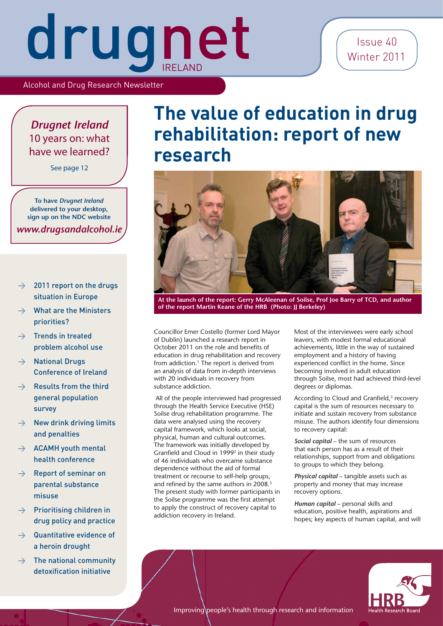#### Issue 40 Winter 2011

Alcohol and Drug Research Newsletter

#### *Drugnet Ireland* 10 years on: what have we learned?

See page 12

**To have** *Drugnet Ireland* **delivered to your desktop, sign up on the NDC website** *[www.drugsandalcohol.ie](http://www.drugsandalcohol.ie)*

- $\rightarrow$  2011 report on the drugs situation in Europe
- $\rightarrow$  What are the Ministers priorities?
- $\rightarrow$  Trends in treated problem alcohol use
- $\rightarrow$  National Drugs Conference of Ireland
- $\rightarrow$  Results from the third general population survey
- $\rightarrow$  New drink driving limits and penalties
- $\rightarrow$  ACAMH youth mental health conference
- $\rightarrow$  Report of seminar on parental substance misuse
- $\rightarrow$  Prioritising children in drug policy and practice
- $\rightarrow$  Quantitative evidence of a heroin drought
- $\rightarrow$  The national community detoxification initiative

### **The value of education in drug rehabilitation: report of new research**



**At the launch of the report: Gerry McAleenan of Soilse, Prof Joe Barry of TCD, and author of the report Martin Keane of the HRB (Photo: JJ Berkeley)**

Councillor Emer Costello (former Lord Mayor of Dublin) launched a research report in October 2011 on the role and benefits of education in drug rehabilitation and recovery from addiction.<sup>1</sup> The report is derived from an analysis of data from in-depth interviews with 20 individuals in recovery from substance addiction.

 All of the people interviewed had progressed through the Health Service Executive (HSE) Soilse drug rehabilitation programme. The data were analysed using the recovery capital framework, which looks at social, physical, human and cultural outcomes. The framework was initially developed by Granfield and Cloud in 1999<sup>2</sup> in their study of 46 individuals who overcame substance dependence without the aid of formal treatment or recourse to self-help groups, and refined by the same authors in 2008.<sup>3</sup> The present study with former participants in the Soilse programme was the first attempt to apply the construct of recovery capital to addiction recovery in Ireland.

Most of the interviewees were early school leavers, with modest formal educational achievements, little in the way of sustained employment and a history of having experienced conflict in the home. Since becoming involved in adult education through Soilse, most had achieved third-level degrees or diplomas.

According to Cloud and Granfield,<sup>3</sup> recovery capital is the sum of resources necessary to initiate and sustain recovery from substance misuse. The authors identify four dimensions to recovery capital:

*Social capital* – the sum of resources that each person has as a result of their relationships, support from and obligations to groups to which they belong.

*Physical capital* – tangible assets such as property and money that may increase recovery options.

*Human capital* – personal skills and education, positive health, aspirations and hopes; key aspects of human capital, and will

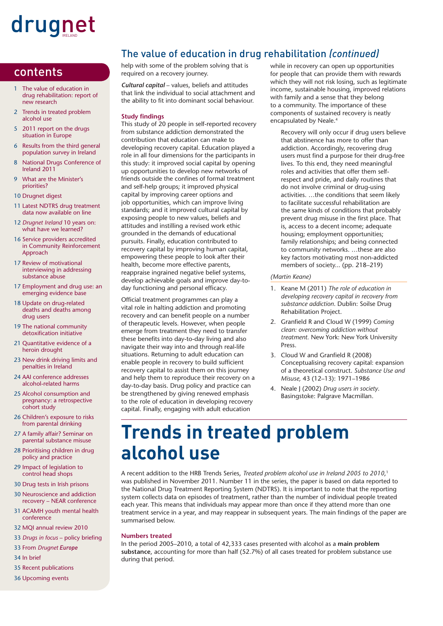- 1 The value of education in drug rehabilitation: report of new research
- 2 Trends in treated problem alcohol use
- 5 2011 report on the drugs situation in Europe
- 6 Results from the third general population survey in Ireland
- 8 National Drugs Conference of Ireland 2011
- 9 What are the Minister's priorities?
- 10 Drugnet digest
- 11 Latest NDTRS drug treatment data now available on line
- 12 *Drugnet Ireland* 10 years on: what have we learned?
- 16 Service providers accredited in Community Reinforcement Approach
- 17 Review of motivational interviewing in addressing substance abuse
- 17 Employment and drug use: an emerging evidence base
- 18 Update on drug-related deaths and deaths among drug users
- 19 The national community detoxification initiative
- 21 Quantitative evidence of a heroin drought
- 23 New drink driving limits and penalties in Ireland
- 24 AAI conference addresses alcohol-related harms
- 25 Alcohol consumption and pregnancy: a retrospective cohort study
- 26 Children's exposure to risks from parental drinking
- 27 A family affair? Seminar on parental substance misuse
- 28 Prioritising children in drug policy and practice
- 29 Impact of legislation to control head shops
- 30 Drug tests in Irish prisons
- 30 Neuroscience and addiction recovery – NEAR conference
- 31 ACAMH youth mental health conference
- 32 MQI annual review 2010
- 33 *Drugs in focus* policy briefing
- 33 From *Drugnet Europe*
- 34 In brief
- 35 Recent publications
- 36 Upcoming events

#### The value of education in drug rehabilitation *(continued)*

**contents** help with some of the problem solving that is required on a recovery journey. required on a recovery journey.

> *Cultural capital* – values, beliefs and attitudes that link the individual to social attachment and the ability to fit into dominant social behaviour.

#### **Study findings**

This study of 20 people in self-reported recovery from substance addiction demonstrated the contribution that education can make to developing recovery capital. Education played a role in all four dimensions for the participants in this study: it improved social capital by opening up opportunities to develop new networks of friends outside the confines of formal treatment and self-help groups; it improved physical capital by improving career options and job opportunities, which can improve living standards; and it improved cultural capital by exposing people to new values, beliefs and attitudes and instilling a revised work ethic grounded in the demands of educational pursuits. Finally, education contributed to recovery capital by improving human capital, empowering these people to look after their health, become more effective parents, reappraise ingrained negative belief systems, develop achievable goals and improve day-today functioning and personal efficacy.

Official treatment programmes can play a vital role in halting addiction and promoting recovery and can benefit people on a number of therapeutic levels. However, when people emerge from treatment they need to transfer these benefits into day-to-day living and also navigate their way into and through real-life situations. Returning to adult education can enable people in recovery to build sufficient recovery capital to assist them on this journey and help them to reproduce their recovery on a day-to-day basis. Drug policy and practice can be strengthened by giving renewed emphasis to the role of education in developing recovery capital. Finally, engaging with adult education

while in recovery can open up opportunities for people that can provide them with rewards which they will not risk losing, such as legitimate income, sustainable housing, improved relations with family and a sense that they belong to a community. The importance of these components of sustained recovery is neatly encapsulated by Neale.4

Recovery will only occur if drug users believe that abstinence has more to offer than addiction. Accordingly, recovering drug users must find a purpose for their drug-free lives. To this end, they need meaningful roles and activities that offer them selfrespect and pride, and daily routines that do not involve criminal or drug-using activities. …the conditions that seem likely to facilitate successful rehabilitation are the same kinds of conditions that probably prevent drug misuse in the first place. That is, access to a decent income; adequate housing; employment opportunities; family relationships; and being connected to community networks. …these are also key factors motivating most non-addicted members of society... (pp. 218–219)

#### *(Martin Keane)*

- 1. Keane M (2011) *The role of education in developing recovery capital in recovery from substance addiction*. Dublin: Soilse Drug Rehabilitation Project.
- 2. Granfield R and Cloud W (1999) Coming *clean: overcoming addiction without treatment.* New York: New York University Press.
- 3. Cloud W and Granfield R (2008) Conceptualising recovery capital: expansion of a theoretical construct. *Substance Use and Misuse,* 43 (12–13): 1971–1986
- 4. Neale J (2002) *Drug users in society*. Basingstoke: Palgrave Macmillan.

### **Trends in treated problem alcohol use**

A recent addition to the HRB Trends Series, *Treated problem alcohol use in Ireland 2005 to 2010*, 1 was published in November 2011. Number 11 in the series, the paper is based on data reported to the National Drug Treatment Reporting System (NDTRS). It is important to note that the reporting system collects data on episodes of treatment, rather than the number of individual people treated each year. This means that individuals may appear more than once if they attend more than one treatment service in a year, and may reappear in subsequent years. The main findings of the paper are summarised below.

#### **Numbers treated**

In the period 2005–2010, a total of 42,333 cases presented with alcohol as a **main problem substance**, accounting for more than half (52.7%) of all cases treated for problem substance use during that period.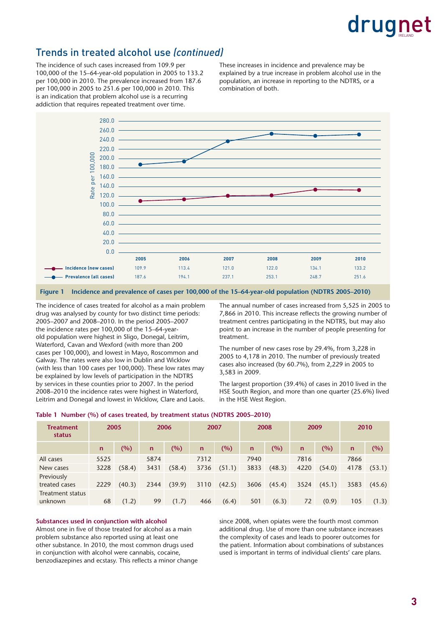#### Trends in treated alcohol use *(continued)*

The incidence of such cases increased from 109.9 per 100,000 of the 15–64-year-old population in 2005 to 133.2 per 100,000 in 2010. The prevalence increased from 187.6 per 100,000 in 2005 to 251.6 per 100,000 in 2010. This is an indication that problem alcohol use is a recurring addiction that requires repeated treatment over time.

These increases in incidence and prevalence may be explained by a true increase in problem alcohol use in the population, an increase in reporting to the NDTRS, or a combination of both.



**Figure 1 Incidence and prevalence of cases per 100,000 of the 15–64-year-old population (NDTRS 2005–2010)** 

The incidence of cases treated for alcohol as a main problem drug was analysed by county for two distinct time periods: 2005–2007 and 2008–2010. In the period 2005–2007 the incidence rates per 100,000 of the 15–64-yearold population were highest in Sligo, Donegal, Leitrim, Waterford, Cavan and Wexford (with more than 200 cases per 100,000), and lowest in Mayo, Roscommon and Galway. The rates were also low in Dublin and Wicklow (with less than 100 cases per 100,000). These low rates may be explained by low levels of participation in the NDTRS by services in these counties prior to 2007. In the period 2008–2010 the incidence rates were highest in Waterford, Leitrim and Donegal and lowest in Wicklow, Clare and Laois. The annual number of cases increased from 5,525 in 2005 to 7,866 in 2010. This increase reflects the growing number of treatment centres participating in the NDTRS, but may also point to an increase in the number of people presenting for treatment.

The number of new cases rose by 29.4%, from 3,228 in 2005 to 4,178 in 2010. The number of previously treated cases also increased (by 60.7%), from 2,229 in 2005 to 3,583 in 2009.

The largest proportion (39.4%) of cases in 2010 lived in the HSE South Region, and more than one quarter (25.6%) lived in the HSE West Region.

|  | Table 1 Number (%) of cases treated, by treatment status (NDTRS 2005–2010) |  |  |  |
|--|----------------------------------------------------------------------------|--|--|--|
|  |                                                                            |  |  |  |

| <b>Treatment</b><br>status         | 2005        |        | 2006         |        | 2007         |        | 2008         |        | 2009         |        | 2010         |        |
|------------------------------------|-------------|--------|--------------|--------|--------------|--------|--------------|--------|--------------|--------|--------------|--------|
|                                    | $\mathbf n$ | (%)    | $\mathsf{n}$ | (%)    | $\mathsf{n}$ | (%)    | $\mathsf{n}$ | (%)    | $\mathsf{n}$ | (%)    | $\mathsf{n}$ | (%)    |
| All cases                          | 5525        |        | 5874         |        | 7312         |        | 7940         |        | 7816         |        | 7866         |        |
| New cases                          | 3228        | (58.4) | 3431         | (58.4) | 3736         | (51.1) | 3833         | (48.3) | 4220         | (54.0) | 4178         | (53.1) |
| Previously<br>treated cases        | 2229        | (40.3) | 2344         | (39.9) | 3110         | (42.5) | 3606         | (45.4) | 3524         | (45.1) | 3583         | (45.6) |
| <b>Treatment status</b><br>unknown | 68          | (1.2)  | 99           | (1.7)  | 466          | (6.4)  | 501          | (6.3)  | 72           | (0.9)  | 105          | (1.3)  |

#### **Substances used in conjunction with alcohol**

Almost one in five of those treated for alcohol as a main problem substance also reported using at least one other substance. In 2010, the most common drugs used in conjunction with alcohol were cannabis, cocaine, benzodiazepines and ecstasy. This reflects a minor change since 2008, when opiates were the fourth most common additional drug. Use of more than one substance increases the complexity of cases and leads to poorer outcomes for the patient. Information about combinations of substances used is important in terms of individual clients' care plans.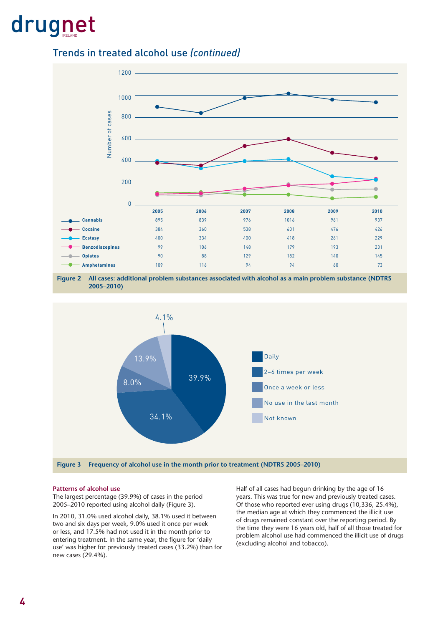Trends in treated alcohol use *(continued)*



**Figure 2 All cases: additional problem substances associated with alcohol as a main problem substance (NDTRS 2005–2010)** 



#### **Patterns of alcohol use**

The largest percentage (39.9%) of cases in the period 2005–2010 reported using alcohol daily (Figure 3).

In 2010, 31.0% used alcohol daily, 38.1% used it between two and six days per week, 9.0% used it once per week or less, and 17.5% had not used it in the month prior to entering treatment. In the same year, the figure for 'daily use' was higher for previously treated cases (33.2%) than for new cases (29.4%).

Half of all cases had begun drinking by the age of 16 years. This was true for new and previously treated cases. Of those who reported ever using drugs (10,336, 25.4%), the median age at which they commenced the illicit use of drugs remained constant over the reporting period. By the time they were 16 years old, half of all those treated for problem alcohol use had commenced the illicit use of drugs (excluding alcohol and tobacco).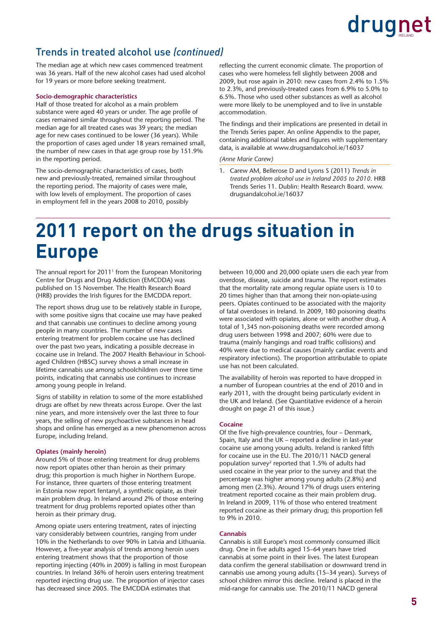#### Trends in treated alcohol use *(continued)*

The median age at which new cases commenced treatment was 36 years. Half of the new alcohol cases had used alcohol for 19 years or more before seeking treatment.

#### **Socio-demographic characteristics**

Half of those treated for alcohol as a main problem substance were aged 40 years or under. The age profile of cases remained similar throughout the reporting period. The median age for all treated cases was 39 years; the median age for new cases continued to be lower (36 years). While the proportion of cases aged under 18 years remained small, the number of new cases in that age group rose by 151.9% in the reporting period.

The socio-demographic characteristics of cases, both new and previously-treated, remained similar throughout the reporting period. The majority of cases were male, with low levels of employment. The proportion of cases in employment fell in the years 2008 to 2010, possibly

reflecting the current economic climate. The proportion of cases who were homeless fell slightly between 2008 and 2009, but rose again in 2010: new cases from 2.4% to 1.5% to 2.3%, and previously-treated cases from 6.9% to 5.0% to 6.5%. Those who used other substances as well as alcohol were more likely to be unemployed and to live in unstable accommodation.

The findings and their implications are presented in detail in the Trends Series paper. An online Appendix to the paper, containing additional tables and figures with supplementary data, is available at [www.drugsandalcohol.ie/16037](http://www.drugsandalcohol.ie/16037)

#### *(Anne Marie Carew)*

1. Carew AM, Bellerose D and Lyons S (2011) *Trends in treated problem alcohol use in Ireland 2005 to 2010*. HRB Trends Series 11. Dublin: Health Research Board. [www.](http://www.drugsandalcohol.ie/16037) [drugsandalcohol.ie/16037](http://www.drugsandalcohol.ie/16037)

### **2011 report on the drugs situation in Europe**

The annual report for 2011<sup>1</sup> from the European Monitoring Centre for Drugs and Drug Addiction (EMCDDA) was published on 15 November. The Health Research Board (HRB) provides the Irish figures for the EMCDDA report.

The report shows drug use to be relatively stable in Europe, with some positive signs that cocaine use may have peaked and that cannabis use continues to decline among young people in many countries. The number of new cases entering treatment for problem cocaine use has declined over the past two years, indicating a possible decrease in cocaine use in Ireland. The 2007 Health Behaviour in Schoolaged Children (HBSC) survey shows a small increase in lifetime cannabis use among schoolchildren over three time points, indicating that cannabis use continues to increase among young people in Ireland.

Signs of stability in relation to some of the more established drugs are offset by new threats across Europe. Over the last nine years, and more intensively over the last three to four years, the selling of new psychoactive substances in head shops and online has emerged as a new phenomenon across Europe, including Ireland.

#### **Opiates (mainly heroin)**

Around 5% of those entering treatment for drug problems now report opiates other than heroin as their primary drug; this proportion is much higher in Northern Europe. For instance, three quarters of those entering treatment in Estonia now report fentanyl, a synthetic opiate, as their main problem drug. In Ireland around 2% of those entering treatment for drug problems reported opiates other than heroin as their primary drug.

Among opiate users entering treatment, rates of injecting vary considerably between countries, ranging from under 10% in the Netherlands to over 90% in Latvia and Lithuania. However, a five-year analysis of trends among heroin users entering treatment shows that the proportion of those reporting injecting (40% in 2009) is falling in most European countries. In Ireland 36% of heroin users entering treatment reported injecting drug use. The proportion of injector cases has decreased since 2005. The EMCDDA estimates that

between 10,000 and 20,000 opiate users die each year from overdose, disease, suicide and trauma. The report estimates that the mortality rate among regular opiate users is 10 to 20 times higher than that among their non-opiate-using peers. Opiates continued to be associated with the majority of fatal overdoses in Ireland. In 2009, 180 poisoning deaths were associated with opiates, alone or with another drug. A total of 1,345 non-poisoning deaths were recorded among drug users between 1998 and 2007; 60% were due to trauma (mainly hangings and road traffic collisions) and 40% were due to medical causes (mainly cardiac events and respiratory infections). The proportion attributable to opiate use has not been calculated.

The availability of heroin was reported to have dropped in a number of European countries at the end of 2010 and in early 2011, with the drought being particularly evident in the UK and Ireland. (See Quantitative evidence of a heroin drought on page 21 of this issue.)

#### **Cocaine**

Of the five high-prevalence countries, four – Denmark, Spain, Italy and the UK – reported a decline in last-year cocaine use among young adults. Ireland is ranked fifth for cocaine use in the EU. The 2010/11 NACD general population survey2 reported that 1.5% of adults had used cocaine in the year prior to the survey and that the percentage was higher among young adults (2.8%) and among men (2.3%). Around 17% of drugs users entering treatment reported cocaine as their main problem drug. In Ireland in 2009, 11% of those who entered treatment reported cocaine as their primary drug; this proportion fell to 9% in 2010.

#### **Cannabis**

Cannabis is still Europe's most commonly consumed illicit drug. One in five adults aged 15-64 years have tried cannabis at some point in their lives. The latest European data confirm the general stabilisation or downward trend in cannabis use among young adults (15–34 years). Surveys of school children mirror this decline. Ireland is placed in the mid-range for cannabis use. The 2010/11 NACD general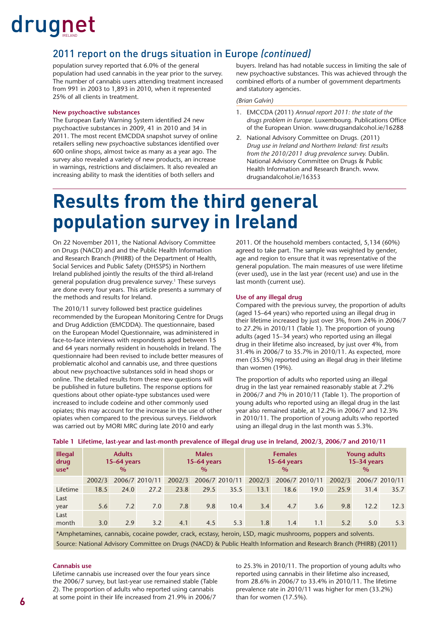#### 2011 report on the drugs situation in Europe *(continued)*

population survey reported that 6.0% of the general population had used cannabis in the year prior to the survey. The number of cannabis users attending treatment increased from 991 in 2003 to 1,893 in 2010, when it represented 25% of all clients in treatment.

#### **New psychoactive substances**

The European Early Warning System identified 24 new psychoactive substances in 2009, 41 in 2010 and 34 in 2011. The most recent EMCDDA snapshot survey of online retailers selling new psychoactive substances identified over 600 online shops, almost twice as many as a year ago. The survey also revealed a variety of new products, an increase in warnings, restrictions and disclaimers. It also revealed an increasing ability to mask the identities of both sellers and

buyers. Ireland has had notable success in limiting the sale of new psychoactive substances. This was achieved through the combined efforts of a number of government departments and statutory agencies.

#### *(Brian Galvin)*

- 1. EMCCDA (2011) *Annual report 2011: the state of the*  drugs problem in Europe. Luxembourg. Publications Office of the European Union. [www.drugsandalcohol.ie/16288](http://www.drugsandalcohol.ie/16288)
- 2. National Advisory Committee on Drugs. (2011) *Drug use in Ireland and Northern Ireland: first results from the 2010/2011 drug prevalence survey.* Dublin. National Advisory Committee on Drugs & Public Health Information and Research Branch. [www.](http://www.drugsandalcohol.ie/16353) [drugsandalcohol.ie/16353](http://www.drugsandalcohol.ie/16353)

### **Results from the third general population survey in Ireland**

On 22 November 2011, the National Advisory Committee on Drugs (NACD) and and the Public Health Information and Research Branch (PHIRB) of the Department of Health, Social Services and Public Safety (DHSSPS) in Northern Ireland published jointly the results of the third all-Ireland general population drug prevalence survey.1 These surveys are done every four years. This article presents a summary of the methods and results for Ireland.

The 2010/11 survey followed best practice guidelines recommended by the European Monitoring Centre for Drugs and Drug Addiction (EMCDDA). The questionnaire, based on the European Model Questionnaire, was administered in face-to-face interviews with respondents aged between 15 and 64 years normally resident in households in Ireland. The questionnaire had been revised to include better measures of problematic alcohol and cannabis use, and three questions about new psychoactive substances sold in head shops or online. The detailed results from these new questions will be published in future bulletins. The response options for questions about other opiate-type substances used were increased to include codeine and other commonly used opiates; this may account for the increase in the use of other opiates when compared to the previous surveys. Fieldwork was carried out by MORI MRC during late 2010 and early

2011. Of the household members contacted, 5,134 (60%) agreed to take part. The sample was weighted by gender, age and region to ensure that it was representative of the general population. The main measures of use were lifetime (ever used), use in the last year (recent use) and use in the last month (current use).

#### **Use of any illegal drug**

Compared with the previous survey, the proportion of adults (aged 15–64 years) who reported using an illegal drug in their lifetime increased by just over 3%, from 24% in 2006/7 to 27.2% in 2010/11 (Table 1). The proportion of young adults (aged 15–34 years) who reported using an illegal drug in their lifetime also increased, by just over 4%, from 31.4% in 2006/7 to 35.7% in 2010/11. As expected, more men (35.5%) reported using an illegal drug in their lifetime than women (19%).

The proportion of adults who reported using an illegal drug in the last year remained reasonably stable at 7.2% in 2006/7 and 7% in 2010/11 (Table 1). The proportion of young adults who reported using an illegal drug in the last year also remained stable, at 12.2% in 2006/7 and 12.3% in 2010/11. The proportion of young adults who reported using an illegal drug in the last month was 5.3%.

| <b>Illegal</b><br>drug<br>$use*$ | <b>Adults</b><br>$15-64$ years<br>$\frac{0}{0}$ |      |                | <b>Males</b><br>$15-64$ years<br>$\%$ |      |                |        | <b>Females</b><br>$15-64$ years<br>$\%$ |                | <b>Young adults</b><br>$15-34$ years<br>$\%$ |      |                |
|----------------------------------|-------------------------------------------------|------|----------------|---------------------------------------|------|----------------|--------|-----------------------------------------|----------------|----------------------------------------------|------|----------------|
|                                  | 2002/3                                          |      | 2006/7 2010/11 | 2002/3                                |      | 2006/7 2010/11 | 2002/3 |                                         | 2006/7 2010/11 | 2002/3                                       |      | 2006/7 2010/11 |
| Lifetime                         | 18.5                                            | 24.0 | 27.2           | 23.8                                  | 29.5 | 35.5           | 13.1   | 18.6                                    | 19.0           | 25.9                                         | 31.4 | 35.7           |
| Last<br>year                     | 5.6                                             | 7.2  | 7.0            | 7.8                                   | 9.8  | 10.4           | 3.4    | 4.7                                     | 3.6            | 9.8                                          | 12.2 | 12.3           |
| Last<br>month                    | 3.0                                             | 2.9  | 3.2            | 4.1                                   | 4.5  | 5.3            | 1.8    | 1.4                                     | 1.1            | 5.2                                          | 5.0  | 5.3            |

#### **Table 1 Lifetime, last-year and last-month prevalence of illegal drug use in Ireland, 2002/3, 2006/7 and 2010/11**

\*Amphetamines, cannabis, cocaine powder, crack, ecstasy, heroin, LSD, magic mushrooms, poppers and solvents. Source: National Advisory Committee on Drugs (NACD) & Public Health Information and Research Branch (PHIRB) (2011)

#### **Cannabis use**

Lifetime cannabis use increased over the four years since the 2006/7 survey, but last-year use remained stable (Table 2). The proportion of adults who reported using cannabis at some point in their life increased from 21.9% in 2006/7

to 25.3% in 2010/11. The proportion of young adults who reported using cannabis in their lifetime also increased, from 28.6% in 2006/7 to 33.4% in 2010/11. The lifetime prevalence rate in 2010/11 was higher for men (33.2%) than for women (17.5%).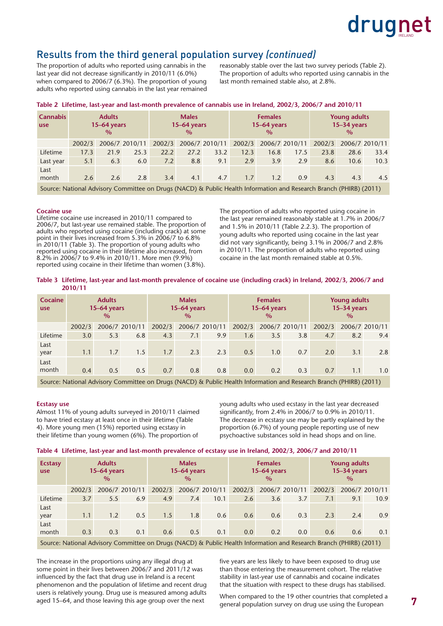

#### Results from the third general population survey *(continued)*

The proportion of adults who reported using cannabis in the last year did not decrease significantly in 2010/11 (6.0%) when compared to 2006/7 (6.3%). The proportion of young adults who reported using cannabis in the last year remained reasonably stable over the last two survey periods (Table 2). The proportion of adults who reported using cannabis in the last month remained stable also, at 2.8%.

| <b>Cannabis</b><br><b>use</b>                                                                                      | <b>Adults</b><br>$15-64$ years<br>$\frac{0}{0}$ |      |                | <b>Males</b><br>$15-64$ years<br>$\frac{0}{0}$ |      |                |        | <b>Females</b><br>$15-64$ years<br>$\frac{0}{0}$ |                | <b>Young adults</b><br>$15-34$ years<br>$\frac{0}{0}$ |      |                |
|--------------------------------------------------------------------------------------------------------------------|-------------------------------------------------|------|----------------|------------------------------------------------|------|----------------|--------|--------------------------------------------------|----------------|-------------------------------------------------------|------|----------------|
|                                                                                                                    | 2002/3                                          |      | 2006/7 2010/11 | 2002/3                                         |      | 2006/7 2010/11 | 2002/3 |                                                  | 2006/7 2010/11 | 2002/3                                                |      | 2006/7 2010/11 |
| Lifetime                                                                                                           | 17.3                                            | 21.9 | 25.3           | 22.2                                           | 27.2 | 33.2           | 12.3   | 16.8                                             | 17.5           | 23.8                                                  | 28.6 | 33.4           |
| Last year                                                                                                          | 5.1                                             | 6.3  | 6.0            | 7.2                                            | 8.8  | 9.1            | 2.9    | 3.9                                              | 2.9            | 8.6                                                   | 10.6 | 10.3           |
| Last                                                                                                               |                                                 |      |                |                                                |      |                |        |                                                  |                |                                                       |      |                |
| month                                                                                                              | 2.6                                             | 2.6  | 2.8            | 3.4                                            | 4.1  | 4.7            | 1.7    | 1.2                                              | 0.9            | 4.3                                                   | 4.3  | 4.5            |
| Source: National Advisory Committee on Drugs (NACD) & Public Health Information and Research Branch (PHIRB) (2011) |                                                 |      |                |                                                |      |                |        |                                                  |                |                                                       |      |                |

#### **Table 2 Lifetime, last-year and last-month prevalence of cannabis use in Ireland, 2002/3, 2006/7 and 2010/11**

#### **Cocaine use**

Lifetime cocaine use increased in 2010/11 compared to 2006/7, but last-year use remained stable. The proportion of adults who reported using cocaine (including crack) at some point in their lives increased from 5.3% in 2006/7 to 6.8% in 2010/11 (Table 3). The proportion of young adults who reported using cocaine in their lifetime also increased, from 8.2% in 2006/7 to 9.4% in 2010/11. More men (9.9%) reported using cocaine in their lifetime than women (3.8%).

The proportion of adults who reported using cocaine in the last year remained reasonably stable at 1.7% in 2006/7 and 1.5% in 2010/11 (Table 2.2.3). The proportion of young adults who reported using cocaine in the last year did not vary significantly, being 3.1% in 2006/7 and 2.8% in 2010/11. The proportion of adults who reported using cocaine in the last month remained stable at 0.5%.

#### **Table 3 Lifetime, last-year and last-month prevalence of cocaine use (including crack) in Ireland, 2002/3, 2006/7 and 2010/11**

| Cocaine<br><b>use</b> |        | <b>Adults</b><br>15-64 years<br>$\%$ |                | <b>Males</b><br>15-64 years<br>$\%$ |     |                |        | <b>Females</b><br>15-64 years<br>$\frac{0}{0}$ |                | <b>Young adults</b><br>15-34 years<br>$\%$ |     |                |  |
|-----------------------|--------|--------------------------------------|----------------|-------------------------------------|-----|----------------|--------|------------------------------------------------|----------------|--------------------------------------------|-----|----------------|--|
|                       | 2002/3 |                                      | 2006/7 2010/11 | 2002/3                              |     | 2006/7 2010/11 | 2002/3 |                                                | 2006/7 2010/11 | 2002/3                                     |     | 2006/7 2010/11 |  |
| Lifetime              | 3.0    | 5.3                                  | 6.8            | 4.3                                 | 7.1 | 9.9            | 1.6    | 3.5                                            | 3.8            | 4.7                                        | 8.2 | 9.4            |  |
| Last<br>year          | 1.1    | 1.7                                  | 1.5            | 1.7                                 | 2.3 | 2.3            | 0.5    | 1.0                                            | 0.7            | 2.0                                        | 3.1 | 2.8            |  |
| Last<br>month         | 0.4    | 0.5                                  | 0.5            | 0.7                                 | 0.8 | 0.8            | 0.0    | 0.2                                            | 0.3            | 0.7                                        | 1.1 | 1.0            |  |

Source: National Advisory Committee on Drugs (NACD) & Public Health Information and Research Branch (PHIRB) (2011)

#### **Ecstasy use**

Almost 11% of young adults surveyed in 2010/11 claimed to have tried ecstasy at least once in their lifetime (Table 4). More young men (15%) reported using ecstasy in their lifetime than young women (6%). The proportion of

young adults who used ecstasy in the last year decreased significantly, from 2.4% in 2006/7 to 0.9% in 2010/11. The decrease in ecstasy use may be partly explained by the proportion (6.7%) of young people reporting use of new psychoactive substances sold in head shops and on line.

#### **Table 4 Lifetime, last-year and last-month prevalence of ecstasy use in Ireland, 2002/3, 2006/7 and 2010/11**

| <b>Ecstasy</b><br><b>use</b>                                                                                       |        | <b>Adults</b><br>$15-64$ years<br>$\%$ |                | <b>Males</b><br>$15-64$ years<br>$\frac{0}{0}$ |     |                |                  | <b>Females</b><br>$15-64$ years<br>$\frac{0}{0}$ |                | <b>Young adults</b><br>$15-34$ years<br>$\frac{0}{0}$ |     |                |  |
|--------------------------------------------------------------------------------------------------------------------|--------|----------------------------------------|----------------|------------------------------------------------|-----|----------------|------------------|--------------------------------------------------|----------------|-------------------------------------------------------|-----|----------------|--|
|                                                                                                                    | 2002/3 |                                        | 2006/7 2010/11 | 2002/3                                         |     | 2006/7 2010/11 | 2002/3           |                                                  | 2006/7 2010/11 | 2002/3                                                |     | 2006/7 2010/11 |  |
| Lifetime                                                                                                           | 3.7    | 5.5                                    | 6.9            | 4.9                                            | 7.4 | 10.1           | 2.6              | 3.6                                              | 3.7            | 7.1                                                   | 9.1 | 10.9           |  |
| Last<br>year                                                                                                       | 1.1    | 1.2                                    | 0.5            | 1.5                                            | 1.8 | 0.6            | 0.6              | 0.6                                              | 0.3            | 2.3                                                   | 2.4 | 0.9            |  |
| Last<br>month                                                                                                      | 0.3    | 0.3                                    | 0.1            | 0.6                                            | 0.5 | 0.1            | 0.0 <sub>1</sub> | 0.2                                              | 0.0            | 0.6                                                   | 0.6 | 0.1            |  |
| Source: National Advisory Committee on Drugs (NACD) & Public Health Information and Research Branch (PHIRB) (2011) |        |                                        |                |                                                |     |                |                  |                                                  |                |                                                       |     |                |  |

The increase in the proportions using any illegal drug at some point in their lives between 2006/7 and 2011/12 was influenced by the fact that drug use in Ireland is a recent phenomenon and the population of lifetime and recent drug users is relatively young. Drug use is measured among adults aged 15–64, and those leaving this age group over the next

five years are less likely to have been exposed to drug use than those entering the measurement cohort. The relative stability in last-year use of cannabis and cocaine indicates that the situation with respect to these drugs has stabilised.

When compared to the 19 other countries that completed a general population survey on drug use using the European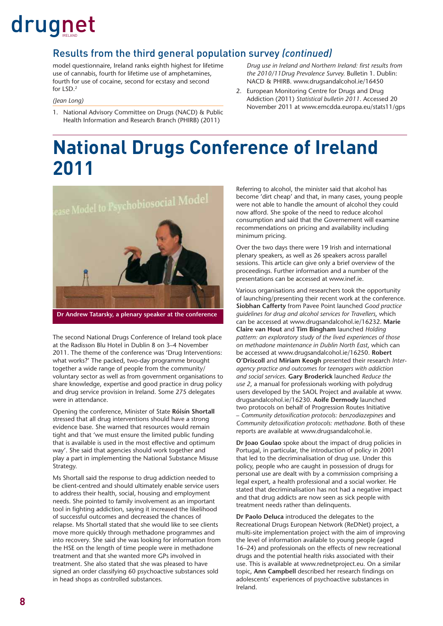#### Results from the third general population survey *(continued)*

model questionnaire, Ireland ranks eighth highest for lifetime use of cannabis, fourth for lifetime use of amphetamines, fourth for use of cocaine, second for ecstasy and second for LSD.2

*(Jean Long)*

1. National Advisory Committee on Drugs (NACD) & Public Health Information and Research Branch (PHIRB) (2011)

*Drug use in Ireland and Northern Ireland: first results from the 2010/11Drug Prevalence Survey.* Bulletin 1. Dublin: NACD & PHIRB. [www.drugsandalcohol.ie/16450](http://www.drugsandalcohol.ie/16450)

2. European Monitoring Centre for Drugs and Drug Addiction (2011) *Statistical bulletin 2011*. Accessed 20 November 2011 at [www.emcdda.europa.eu/stats11/gps](http://www.emcdda.europa.eu/stats11/gps) 

### **National Drugs Conference of Ireland 2011**



**Dr Andrew Tatarsky, a plenary speaker at the conference**

The second National Drugs Conference of Ireland took place at the Radisson Blu Hotel in Dublin 8 on 3–4 November 2011. The theme of the conference was 'Drug Interventions: what works?' The packed, two-day programme brought together a wide range of people from the community/ voluntary sector as well as from government organisations to share knowledge, expertise and good practice in drug policy and drug service provision in Ireland. Some 275 delegates were in attendance.

Opening the conference, Minister of State **Róisín Shortall** stressed that all drug interventions should have a strong evidence base. She warned that resources would remain tight and that 'we must ensure the limited public funding that is available is used in the most effective and optimum way'. She said that agencies should work together and play a part in implementing the National Substance Misuse Strategy.

Ms Shortall said the response to drug addiction needed to be client-centred and should ultimately enable service users to address their health, social, housing and employment needs. She pointed to family involvement as an important tool in fighting addiction, saying it increased the likelihood of successful outcomes and decreased the chances of relapse. Ms Shortall stated that she would like to see clients move more quickly through methadone programmes and into recovery. She said she was looking for information from the HSE on the length of time people were in methadone treatment and that she wanted more GPs involved in treatment. She also stated that she was pleased to have signed an order classifying 60 psychoactive substances sold in head shops as controlled substances.

Referring to alcohol, the minister said that alcohol has become 'dirt cheap' and that, in many cases, young people were not able to handle the amount of alcohol they could now afford. She spoke of the need to reduce alcohol consumption and said that the Governement will examine recommendations on pricing and availability including minimum pricing.

Over the two days there were 19 Irish and international plenary speakers, as well as 26 speakers across parallel sessions. This article can give only a brief overview of the proceedings. Further information and a number of the presentations can be accessed at [www.inef.ie.](http://www.inef.ie) 

Various organisations and researchers took the opportunity of launching/presenting their recent work at the conference. **Siobhan Cafferty** from Pavee Point launched *Good practice guidelines for drug and alcohol services for Travellers*, which can be accessed at [www.drugsandalcohol.ie/16232.](http://www.drugsandalcohol.ie/16232) **Marie Claire van Hout** and **Tim Bingham** launched *Holding pattern: an exploratory study of the lived experiences of those on methadone maintenance in Dublin North East*, which can be accessed at [www.drugsandalcohol.ie/16250.](http://www.drugsandalcohol.ie/16250) **Robert O'Driscoll** and **Miriam Keogh** presented their research *Interagency practice and outcomes for teenagers with addiction and social services*. **Gary Broderick** launched *Reduce the use 2*, a manual for professionals working with polydrug users developed by the SAOL Project and available at [www.](http://www.drugsandalcohol.ie/16230) [drugsandalcohol.ie/16230.](http://www.drugsandalcohol.ie/16230) **Aoife Dermody** launched two protocols on behalf of Progression Routes Initiative – *Community detoxifi cation protocols: benzodiazepines* and Community detoxification protocols: methadone. Both of these reports are available at [www.drugsandalcohol.ie.](http://www.drugsandalcohol.ie)

**Dr Joao Goulao** spoke about the impact of drug policies in Portugal, in particular, the introduction of policy in 2001 that led to the decriminalisation of drug use. Under this policy, people who are caught in possession of drugs for personal use are dealt with by a commission comprising a legal expert, a health professional and a social worker. He stated that decriminalisation has not had a negative impact and that drug addicts are now seen as sick people with treatment needs rather than delinquents.

**Dr Paolo Deluca** introduced the delegates to the Recreational Drugs European Network (ReDNet) project, a multi-site implementation project with the aim of improving the level of information available to young people (aged 16–24) and professionals on the effects of new recreational drugs and the potential health risks associated with their use. This is available at [www.rednetproject.eu. O](http://www.rednetproject.eu)n a similar topic, Ann Campbell described her research findings on adolescents' experiences of psychoactive substances in Ireland.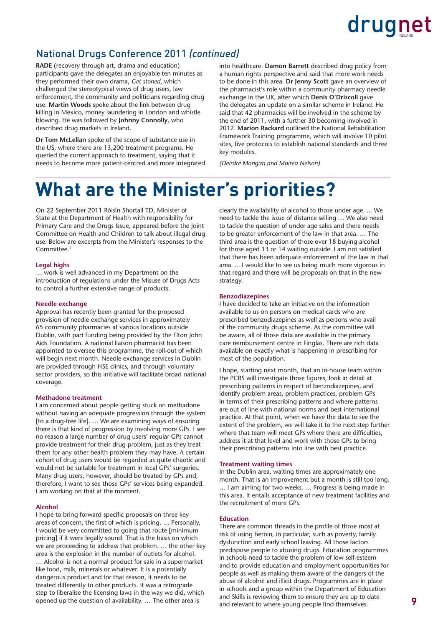#### National Drugs Conference 2011 *(continued)*

**RADE** (recovery through art, drama and education) participants gave the delegates an enjoyable ten minutes as they performed their own drama, *Get stoned*, which challenged the stereotypical views of drug users, law enforcement, the community and politicians regarding drug use. **Martin Woods** spoke about the link between drug killing in Mexico, money laundering in London and whistle blowing. He was followed by **Johnny Connolly**, who described drug markets in Ireland.

**Dr Tom McLellan** spoke of the scope of substance use in the US, where there are 13,200 treatment programs. He queried the current approach to treatment, saying that it needs to become more patient-centred and more integrated into healthcare. **Damon Barrett** described drug policy from a human rights perspective and said that more work needs to be done in this area. **Dr Jenny Scott** gave an overview of the pharmacist's role within a community pharmacy needle exchange in the UK, after which **Denis O'Driscoll** gave the delegates an update on a similar scheme in Ireland. He said that 42 pharmacies will be involved in the scheme by the end of 2011, with a further 30 becoming involved in 2012. **Marion Rackard** outlined the National Rehabilitation Framework Training programme, which will involve 10 pilot sites, five protocols to establish national standards and three key modules.

*(Deirdre Mongan and Mairea Nelson)*

### **What are the Minister's priorities?**

On 22 September 2011 Róisín Shortall TD, Minister of State at the Department of Health with responsibility for Primary Care and the Drugs Issue, appeared before the Joint Committee on Health and Children to talk about illegal drug use. Below are excerpts from the Minister's responses to the Committee<sup>1</sup>

#### **Legal highs**

… work is well advanced in my Department on the introduction of regulations under the Misuse of Drugs Acts to control a further extensive range of products.

#### **Needle exchange**

Approval has recently been granted for the proposed provision of needle exchange services in approximately 65 community pharmacies at various locations outside Dublin, with part funding being provided by the Elton John Aids Foundation. A national liaison pharmacist has been appointed to oversee this programme, the roll-out of which will begin next month. Needle exchange services in Dublin are provided through HSE clinics, and through voluntary sector providers, so this initiative will facilitate broad national coverage.

#### **Methadone treatment**

I am concerned about people getting stuck on methadone without having an adequate progression through the system [to a drug-free life]. … We are examining ways of ensuring there is that kind of progression by involving more GPs. I see no reason a large number of drug users' regular GPs cannot provide treatment for their drug problem, just as they treat them for any other health problem they may have. A certain cohort of drug users would be regarded as quite chaotic and would not be suitable for treatment in local GPs' surgeries. Many drug users, however, should be treated by GPs and, therefore, I want to see those GPs' services being expanded. I am working on that at the moment.

#### **Alcohol**

I hope to bring forward specific proposals on three key areas of concern, the first of which is pricing. ... Personally, I would be very committed to going that route [minimum pricing] if it were legally sound. That is the basis on which we are proceeding to address that problem. … the other key area is the explosion in the number of outlets for alcohol. … Alcohol is not a normal product for sale in a supermarket like food, milk, minerals or whatever. It is a potentially dangerous product and for that reason, it needs to be treated differently to other products. It was a retrograde step to liberalise the licensing laws in the way we did, which opened up the question of availability. … The other area is

clearly the availability of alcohol to those under age. ... We need to tackle the issue of distance selling … We also need to tackle the question of under age sales and there needs to be greater enforcement of the law in that area. … The third area is the question of those over 18 buying alcohol for those aged 13 or 14 waiting outside. I am not satisfied that there has been adequate enforcement of the law in that area. ... I would like to see us being much more vigorous in that regard and there will be proposals on that in the new strategy.

#### **Benzodiazepines**

I have decided to take an initiative on the information available to us on persons on medical cards who are prescribed benzodiazepines as well as persons who avail of the community drugs scheme. As the committee will be aware, all of those data are available in the primary care reimbursement centre in Finglas. There are rich data available on exactly what is happening in prescribing for most of the population.

I hope, starting next month, that an in-house team within the PCRS will investigate those figures, look in detail at prescribing patterns in respect of benzodiazepines, and identify problem areas, problem practices, problem GPs in terms of their prescribing patterns and where patterns are out of line with national norms and best international practice. At that point, when we have the data to see the extent of the problem, we will take it to the next step further where that team will meet GPs where there are difficulties, address it at that level and work with those GPs to bring their prescribing patterns into line with best practice.

#### **Treatment waiting times**

In the Dublin area, waiting times are approximately one month. That is an improvement but a month is still too long. … I am aiming for two weeks. … Progress is being made in this area. It entails acceptance of new treatment facilities and the recruitment of more GPs.

#### **Education**

There are common threads in the profile of those most at risk of using heroin, in particular, such as poverty, family dysfunction and early school leaving. All those factors predispose people to abusing drugs. Education programmes in schools need to tackle the problem of low self-esteem and to provide education and employment opportunities for people as well as making them aware of the dangers of the abuse of alcohol and illicit drugs. Programmes are in place in schools and a group within the Department of Education and Skills is reviewing them to ensure they are up to date and relevant to where young people find themselves.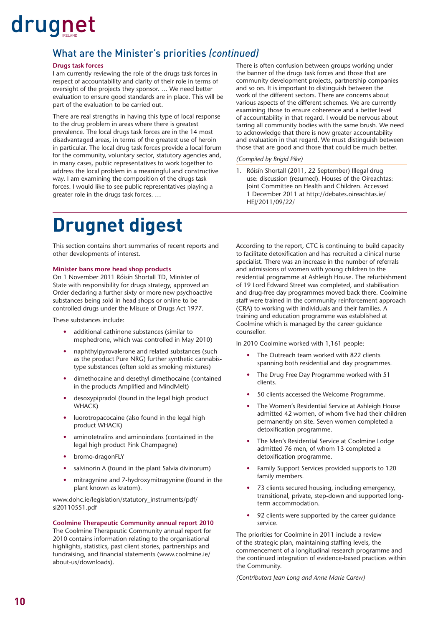#### What are the Minister's priorities *(continued)*

#### **Drugs task forces**

I am currently reviewing the role of the drugs task forces in respect of accountability and clarity of their role in terms of oversight of the projects they sponsor. … We need better evaluation to ensure good standards are in place. This will be part of the evaluation to be carried out.

There are real strengths in having this type of local response to the drug problem in areas where there is greatest prevalence. The local drugs task forces are in the 14 most disadvantaged areas, in terms of the greatest use of heroin in particular. The local drug task forces provide a local forum for the community, voluntary sector, statutory agencies and, in many cases, public representatives to work together to address the local problem in a meaningful and constructive way. I am examining the composition of the drugs task forces. I would like to see public representatives playing a greater role in the drugs task forces. …

There is often confusion between groups working under the banner of the drugs task forces and those that are community development projects, partnership companies and so on. It is important to distinguish between the work of the different sectors. There are concerns about various aspects of the different schemes. We are currently examining those to ensure coherence and a better level of accountability in that regard. I would be nervous about tarring all community bodies with the same brush. We need to acknowledge that there is now greater accountability and evaluation in that regard. We must distinguish between those that are good and those that could be much better.

#### *(Compiled by Brigid Pike)*

Róisín Shortall (2011, 22 September) Illegal drug use: discussion (resumed). Houses of the Oireachtas: Joint Committee on Health and Children. Accessed [1 December 2011 at http://debates.oireachtas.ie/](http://debates.oireachtas.ie/HEJ/2011/09/22/) HEJ/2011/09/22/

### **Drugnet digest**

This section contains short summaries of recent reports and other developments of interest.

#### **Minister bans more head shop products**

On 1 November 2011 Róisín Shortall TD, Minister of State with responsibility for drugs strategy, approved an Order declaring a further sixty or more new psychoactive substances being sold in head shops or online to be controlled drugs under the Misuse of Drugs Act 1977.

These substances include:

- additional cathinone substances (similar to mephedrone, which was controlled in May 2010)
- naphthylpyrovalerone and related substances (such as the product Pure NRG) further synthetic cannabistype substances (often sold as smoking mixtures)
- dimethocaine and desethyl dimethocaine (contained in the products Amplified and MindMelt)
- desoxypipradol (found in the legal high product WHACK)
- luorotropacocaine (also found in the legal high product WHACK)
- aminotetralins and aminoindans (contained in the legal high product Pink Champagne)
- bromo-dragonFLY
- salvinorin A (found in the plant Salvia divinorum)
- mitragynine and 7-hydroxymitragynine (found in the plant known as kratom).

[www.dohc.ie/legislation/statutory\\_instruments/pdf/](http://www.dohc.ie/legislation/statutory_instruments/pdf/) si20110551.pdf

#### **Coolmine Therapeutic Community annual report 2010**

The Coolmine Therapeutic Community annual report for 2010 contains information relating to the organisational highlights, statistics, past client stories, partnerships and fundraising, and financial statements [\(www.coolmine.ie/](http://www.coolmine.ie/about-us/downloads) [about-us/downloads\).](http://www.coolmine.ie/about-us/downloads) 

According to the report, CTC is continuing to build capacity to facilitate detoxification and has recruited a clinical nurse specialist. There was an increase in the number of referrals and admissions of women with young children to the residential programme at Ashleigh House. The refurbishment of 19 Lord Edward Street was completed, and stabilisation and drug-free day programmes moved back there. Coolmine staff were trained in the community reinforcement approach (CRA) to working with individuals and their families. A training and education programme was established at Coolmine which is managed by the career guidance counsellor.

In 2010 Coolmine worked with 1,161 people:

- The Outreach team worked with 822 clients spanning both residential and day programmes.
- The Drug Free Day Programme worked with 51 clients.
- 50 clients accessed the Welcome Programme.
- The Women's Residential Service at Ashleigh House admitted 42 women, of whom five had their children permanently on site. Seven women completed a detoxification programme.
- The Men's Residential Service at Coolmine Lodge admitted 76 men, of whom 13 completed a detoxification programme.
- Family Support Services provided supports to 120 family members.
- 73 clients secured housing, including emergency, transitional, private, step-down and supported longterm accommodation.
- 92 clients were supported by the career guidance service.

The priorities for Coolmine in 2011 include a review of the strategic plan, maintaining staffing levels, the commencement of a longitudinal research programme and the continued integration of evidence-based practices within the Community.

*(Contributors Jean Long and Anne Marie Carew)*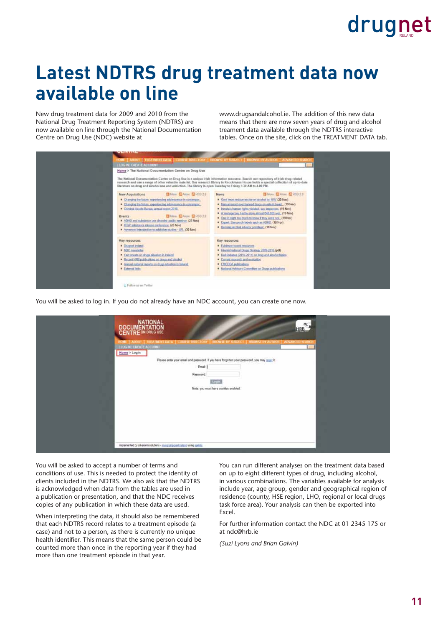### **Latest NDTRS drug treatment data now available on line**

New drug treatment data for 2009 and 2010 from the National Drug Treatment Reporting System (NDTRS) are now available on line through the National Documentation Centre on Drug Use (NDC) website at

[www.drugsandalcohol.ie. Th](http://www.drugsandalcohol.ie)e addition of this new data means that there are now seven years of drug and alcohol treament data available through the NDTRS interactive tables. Once on the site, click on the TREATMENT DATA tab.



You will be asked to log in. If you do not already have an NDC account, you can create one now.

| NATIONAL<br>DOCUMENTATION<br>CENTRE ON DRUG USE<br>寒<br>HRB                                                                                                 |  |
|-------------------------------------------------------------------------------------------------------------------------------------------------------------|--|
| HOME   ABOUT   TREATMENT DATA   COURSE DRECTORY   BROWNE BY SUILDET  <br><b>HROWSE IF AUTHOR   ADVANCED SEARCH</b><br>LUGARI CREATE ACCOUNT<br>Home > Login |  |
| Please enter your email and password. If you have forgotten your password, you may reget it.<br>Email:<br>Password                                          |  |
| togin.<br>Nota: you must have cookies enabled.                                                                                                              |  |
|                                                                                                                                                             |  |
|                                                                                                                                                             |  |
| implemented by aliveranm solutions - myrid plup part ireland using contrist                                                                                 |  |

You will be asked to accept a number of terms and conditions of use. This is needed to protect the identity of clients included in the NDTRS. We also ask that the NDTRS is acknowledged when data from the tables are used in a publication or presentation, and that the NDC receives copies of any publication in which these data are used.

When interpreting the data, it should also be remembered that each NDTRS record relates to a treatment episode (a case) and not to a person, as there is currently no unique health identifier. This means that the same person could be counted more than once in the reporting year if they had more than one treatment episode in that year.

You can run different analyses on the treatment data based on up to eight different types of drug, including alcohol, in various combinations. The variables available for analysis include year, age group, gender and geographical region of residence (county, HSE region, LHO, regional or local drugs task force area). Your analysis can then be exported into Excel.

For further information contact the NDC at 01 2345 175 or at [ndc@hrb.ie](mailto:ndc@hrb.ie) 

*(Suzi Lyons and Brian Galvin)*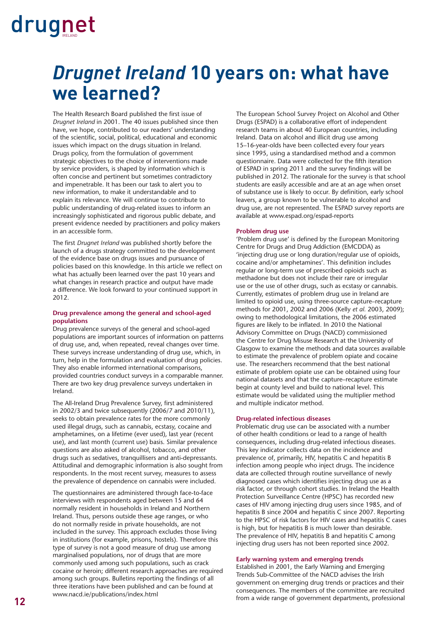### *Drugnet Ireland* **10 years on: what have we learned?**

The Health Research Board published the first issue of *Drugnet Ireland* in 2001. The 40 issues published since then have, we hope, contributed to our readers' understanding of the scientific, social, political, educational and economic issues which impact on the drugs situation in Ireland. Drugs policy, from the formulation of government strategic objectives to the choice of interventions made by service providers, is shaped by information which is often concise and pertinent but sometimes contradictory and impenetrable. It has been our task to alert you to new information, to make it understandable and to explain its relevance. We will continue to contribute to public understanding of drug-related issues to inform an increasingly sophisticated and rigorous public debate, and present evidence needed by practitioners and policy makers in an accessible form.

The first *Drugnet Ireland* was published shortly before the launch of a drugs strategy committed to the development of the evidence base on drugs issues and pursuance of policies based on this knowledge. In this article we reflect on what has actually been learned over the past 10 years and what changes in research practice and output have made a difference. We look forward to your continued support in 2012.

#### **Drug prevalence among the general and school-aged populations**

Drug prevalence surveys of the general and school-aged populations are important sources of information on patterns of drug use, and, when repeated, reveal changes over time. These surveys increase understanding of drug use, which, in turn, help in the formulation and evaluation of drug policies. They also enable informed international comparisons, provided countries conduct surveys in a comparable manner. There are two key drug prevalence surveys undertaken in Ireland.

The All-Ireland Drug Prevalence Survey, first administered in 2002/3 and twice subsequently (2006/7 and 2010/11), seeks to obtain prevalence rates for the more commonly used illegal drugs, such as cannabis, ecstasy, cocaine and amphetamines, on a lifetime (ever used), last year (recent use), and last month (current use) basis. Similar prevalence questions are also asked of alcohol, tobacco, and other drugs such as sedatives, tranquillisers and anti-depressants. Attitudinal and demographic information is also sought from respondents. In the most recent survey, measures to assess the prevalence of dependence on cannabis were included.

The questionnaires are administered through face-to-face interviews with respondents aged between 15 and 64 normally resident in households in Ireland and Northern Ireland. Thus, persons outside these age ranges, or who do not normally reside in private households, are not included in the survey. This approach excludes those living in institutions (for example, prisons, hostels). Therefore this type of survey is not a good measure of drug use among marginalised populations, nor of drugs that are more commonly used among such populations, such as crack cocaine or heroin; different research approaches are required among such groups. Bulletins reporting the findings of all three iterations have been published and can be found at [www.nacd.ie/publications/index.html](http://www.nacd.ie/publications/index.html)

The European School Survey Project on Alcohol and Other Drugs (ESPAD) is a collaborative effort of independent research teams in about 40 European countries, including Ireland. Data on alcohol and illicit drug use among 15–16-year-olds have been collected every four years since 1995, using a standardised method and a common questionnaire. Data were collected for the fifth iteration of ESPAD in spring 2011 and the survey findings will be published in 2012. The rationale for the survey is that school students are easily accessible and are at an age when onset of substance use is likely to occur. By definition, early school leavers, a group known to be vulnerable to alcohol and drug use, are not represented. The ESPAD survey reports are available at [www.espad.org/espad-reports](http://www.espad.org/espad-reports)

#### **Problem drug use**

'Problem drug use' is defined by the European Monitoring Centre for Drugs and Drug Addiction (EMCDDA) as 'injecting drug use or long duration/regular use of opioids, cocaine and/or amphetamines'. This definition includes regular or long-term use of prescribed opioids such as methadone but does not include their rare or irregular use or the use of other drugs, such as ecstasy or cannabis. Currently, estimates of problem drug use in Ireland are limited to opioid use, using three-source capture–recapture methods for 2001, 2002 and 2006 (Kelly *et al.* 2003, 2009); owing to methodological limitations, the 2006 estimated figures are likely to be inflated. In 2010 the National Advisory Committee on Drugs (NACD) commissioned the Centre for Drug Misuse Research at the University of Glasgow to examine the methods and data sources available to estimate the prevalence of problem opiate and cocaine use. The researchers recommend that the best national estimate of problem opiate use can be obtained using four national datasets and that the capture–recapture estimate begin at county level and build to national level. This estimate would be validated using the multiplier method and multiple indicator method.

#### **Drug-related infectious diseases**

Problematic drug use can be associated with a number of other health conditions or lead to a range of health consequences, including drug-related infectious diseases. This key indicator collects data on the incidence and prevalence of, primarily, HIV, hepatitis C and hepatitis B infection among people who inject drugs. The incidence data are collected through routine surveillance of newly diagnosed cases which identifies injecting drug use as a risk factor, or through cohort studies. In Ireland the Health Protection Surveillance Centre (HPSC) has recorded new cases of HIV among injecting drug users since 1985, and of hepatitis B since 2004 and hepatitis C since 2007. Reporting to the HPSC of risk factors for HIV cases and hepatitis C cases is high, but for hepatitis B is much lower than desirable. The prevalence of HIV, hepatitis B and hepatitis C among injecting drug users has not been reported since 2002.

#### **Early warning system and emerging trends**

Established in 2001, the Early Warning and Emerging Trends Sub-Committee of the NACD advises the Irish government on emerging drug trends or practices and their consequences. The members of the committee are recruited from a wide range of government departments, professional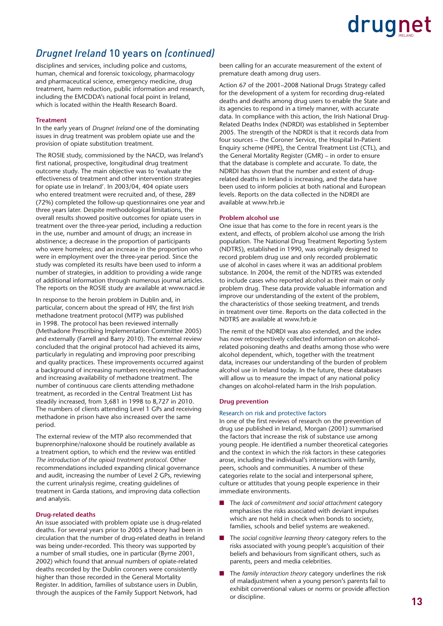#### *Drugnet Ireland* 10 years on *(continued)*

disciplines and services, including police and customs, human, chemical and forensic toxicology, pharmacology and pharmaceutical science, emergency medicine, drug treatment, harm reduction, public information and research, including the EMCDDA's national focal point in Ireland, which is located within the Health Research Board.

#### **Treatment**

In the early years of *Drugnet Ireland* one of the dominating issues in drug treatment was problem opiate use and the provision of opiate substitution treatment.

The ROSIE study, commissioned by the NACD, was Ireland's first national, prospective, longitudinal drug treatment outcome study. The main objective was to 'evaluate the effectiveness of treatment and other intervention strategies for opiate use in Ireland'. In 2003/04, 404 opiate users who entered treatment were recruited and, of these, 289 (72%) completed the follow-up questionnaires one year and three years later. Despite methodological limitations, the overall results showed positive outcomes for opiate users in treatment over the three-year period, including a reduction in the use, number and amount of drugs; an increase in abstinence; a decrease in the proportion of participants who were homeless; and an increase in the proportion who were in employment over the three-year period. Since the study was completed its results have been used to inform a number of strategies, in addition to providing a wide range of additional information through numerous journal articles. The reports on the ROSIE study are available at [www.nacd.ie](http://www.nacd.ie) 

In response to the heroin problem in Dublin and, in particular, concern about the spread of HIV, the first Irish methadone treatment protocol (MTP) was published in 1998. The protocol has been reviewed internally (Methadone Prescribing Implementation Committee 2005) and externally (Farrell and Barry 2010). The external review concluded that the original protocol had achieved its aims, particularly in regulating and improving poor prescribing and quality practices. These improvements occurred against a background of increasing numbers receiving methadone and increasing availability of methadone treatment. The number of continuous care clients attending methadone treatment, as recorded in the Central Treatment List has steadily increased, from 3,681 in 1998 to 8,727 in 2010. The numbers of clients attending Level 1 GPs and receiving methadone in prison have also increased over the same period.

The external review of the MTP also recommended that buprenorphine/naloxone should be routinely available as a treatment option, to which end the review was entitled *The introduction of the opioid treatment protocol*. Other recommendations included expanding clinical governance and audit, increasing the number of Level 2 GPs, reviewing the current urinalysis regime, creating guidelines of treatment in Garda stations, and improving data collection and analysis.

#### **Drug-related deaths**

An issue associated with problem opiate use is drug-related deaths. For several years prior to 2005 a theory had been in circulation that the number of drug-related deaths in Ireland was being under-recorded. This theory was supported by a number of small studies, one in particular (Byrne 2001, 2002) which found that annual numbers of opiate-related deaths recorded by the Dublin coroners were consistently higher than those recorded in the General Mortality Register. In addition, families of substance users in Dublin, through the auspices of the Family Support Network, had

been calling for an accurate measurement of the extent of premature death among drug users.

Action 67 of the 2001–2008 National Drugs Strategy called for the development of a system for recording drug-related deaths and deaths among drug users to enable the State and its agencies to respond in a timely manner, with accurate data. In compliance with this action, the Irish National Drug-Related Deaths Index (NDRDI) was established in September 2005. The strength of the NDRDI is that it records data from four sources – the Coroner Service, the Hospital In-Patient Enquiry scheme (HIPE), the Central Treatment List (CTL), and the General Mortality Register (GMR) – in order to ensure that the database is complete and accurate. To date, the NDRDI has shown that the number and extent of drugrelated deaths in Ireland is increasing, and the data have been used to inform policies at both national and European levels. Reports on the data collected in the NDRDI are available at [www.hrb.ie](http://www.hrb.ie) 

#### **Problem alcohol use**

One issue that has come to the fore in recent years is the extent, and effects, of problem alcohol use among the Irish population. The National Drug Treatment Reporting System (NDTRS), established in 1990, was originally designed to record problem drug use and only recorded problematic use of alcohol in cases where it was an additional problem substance. In 2004, the remit of the NDTRS was extended to include cases who reported alcohol as their main or only problem drug. These data provide valuable information and improve our understanding of the extent of the problem, the characteristics of those seeking treatment, and trends in treatment over time. Reports on the data collected in the NDTRS are available at [www.hrb.ie](http://www.hrb.ie) 

The remit of the NDRDI was also extended, and the index has now retrospectively collected information on alcoholrelated poisoning deaths and deaths among those who were alcohol dependent, which, together with the treatment data, increases our understanding of the burden of problem alcohol use in Ireland today. In the future, these databases will allow us to measure the impact of any national policy changes on alcohol-related harm in the Irish population.

#### **Drug prevention**

#### Research on risk and protective factors

In one of the first reviews of research on the prevention of drug use published in Ireland, Morgan (2001) summarised the factors that increase the risk of substance use among young people. He identified a number theoretical categories and the context in which the risk factors in these categories arose, including the individual's interactions with family, peers, schools and communities. A number of these categories relate to the social and interpersonal sphere, culture or attitudes that young people experience in their immediate environments.

- The *lack of commitment and social attachment* category emphasises the risks associated with deviant impulses which are not held in check when bonds to society, families, schools and belief systems are weakened.
- The *social cognitive learning theory* category refers to the risks associated with young people's acquisition of their beliefs and behaviours from significant others, such as parents, peers and media celebrities.
- The *family interaction theory* category underlines the risk of maladjustment when a young person's parents fail to exhibit conventional values or norms or provide affection or discipline.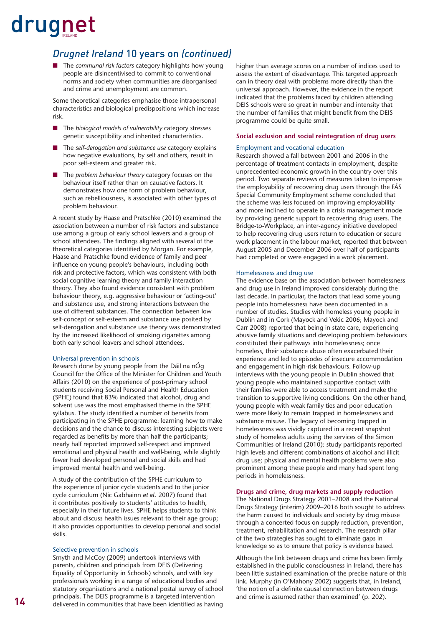#### *Drugnet Ireland* 10 years on *(continued)*

■ The *communal risk factors* category highlights how young people are disincentivised to commit to conventional norms and society when communities are disorganised and crime and unemployment are common.

Some theoretical categories emphasise those intrapersonal characteristics and biological predispositions which increase risk.

- The *biological models of vulnerability* category stresses genetic susceptibility and inherited characteristics.
- The *self-derogation and substance use* category explains how negative evaluations, by self and others, result in poor self-esteem and greater risk.
- The *problem behaviour theory* category focuses on the behaviour itself rather than on causative factors. It demonstrates how one form of problem behaviour, such as rebelliousness, is associated with other types of problem behaviour.

A recent study by Haase and Pratschke (2010) examined the association between a number of risk factors and substance use among a group of early school leavers and a group of school attendees. The findings aligned with several of the theoretical categories identified by Morgan. For example, Haase and Pratschke found evidence of family and peer influence on young people's behaviours, including both risk and protective factors, which was consistent with both social cognitive learning theory and family interaction theory. They also found evidence consistent with problem behaviour theory, e.g. aggressive behaviour or 'acting-out' and substance use, and strong interactions between the use of different substances. The connection between low self-concept or self-esteem and substance use posited by self-derogation and substance use theory was demonstrated by the increased likelihood of smoking cigarettes among both early school leavers and school attendees.

#### Universal prevention in schools

Research done by young people from the Dáil na nÓg Council for the Office of the Minister for Children and Youth Affairs (2010) on the experience of post-primary school students receiving Social Personal and Health Education (SPHE) found that 83% indicated that alcohol, drug and solvent use was the most emphasised theme in the SPHE syllabus. The study identified a number of benefits from participating in the SPHE programme: learning how to make decisions and the chance to discuss interesting subjects were regarded as benefits by more than half the participants; nearly half reported improved self-respect and improved emotional and physical health and well-being, while slightly fewer had developed personal and social skills and had improved mental health and well-being.

A study of the contribution of the SPHE curriculum to the experience of junior cycle students and to the junior cycle curriculum (Nic Gabhainn *et al*. 2007) found that it contributes positively to students' attitudes to health, especially in their future lives. SPHE helps students to think about and discuss health issues relevant to their age group; it also provides opportunities to develop personal and social skills.

#### Selective prevention in schools

Smyth and McCoy (2009) undertook interviews with parents, children and principals from DEIS (Delivering Equality of Opportunity in Schools) schools, and with key professionals working in a range of educational bodies and statutory organisations and a national postal survey of school principals. The DEIS programme is a targeted intervention delivered in communities that have been identified as having higher than average scores on a number of indices used to assess the extent of disadvantage. This targeted approach can in theory deal with problems more directly than the universal approach. However, the evidence in the report indicated that the problems faced by children attending DEIS schools were so great in number and intensity that the number of families that might benefit from the DEIS programme could be quite small.

#### **Social exclusion and social reintegration of drug users**

#### Employment and vocational education

Research showed a fall between 2001 and 2006 in the percentage of treatment contacts in employment, despite unprecedented economic growth in the country over this period. Two separate reviews of measures taken to improve the employability of recovering drug users through the FÁS Special Community Employment scheme concluded that the scheme was less focused on improving employability and more inclined to operate in a crisis management mode by providing generic support to recovering drug users. The Bridge-to-Workplace, an inter-agency initiative developed to help recovering drug users return to education or secure work placement in the labour market, reported that between August 2005 and December 2006 over half of participants had completed or were engaged in a work placement.

#### Homelessness and drug use

The evidence base on the association between homelessness and drug use in Ireland improved considerably during the last decade. In particular, the factors that lead some young people into homelessness have been documented in a number of studies. Studies with homeless young people in Dublin and in Cork (Mayock and Vekic 2006; Mayock and Carr 2008) reported that being in state care, experiencing abusive family situations and developing problem behaviours constituted their pathways into homelessness; once homeless, their substance abuse often exacerbated their experience and led to episodes of insecure accommodation and engagement in high-risk behaviours. Follow-up interviews with the young people in Dublin showed that young people who maintained supportive contact with their families were able to access treatment and make the transition to supportive living conditions. On the other hand, young people with weak family ties and poor education were more likely to remain trapped in homelessness and substance misuse. The legacy of becoming trapped in homelessness was vividly captured in a recent snapshot study of homeless adults using the services of the Simon Communities of Ireland (2010): study participants reported high levels and different combinations of alcohol and illicit drug use; physical and mental health problems were also prominent among these people and many had spent long periods in homelessness.

#### **Drugs and crime, drug markets and supply reduction**

The National Drugs Strategy 2001–2008 and the National Drugs Strategy (interim) 2009–2016 both sought to address the harm caused to individuals and society by drug misuse through a concerted focus on supply reduction, prevention, treatment, rehabilitation and research. The research pillar of the two strategies has sought to eliminate gaps in knowledge so as to ensure that policy is evidence based.

Although the link between drugs and crime has been firmly established in the public consciousness in Ireland, there has been little sustained examination of the precise nature of this link. Murphy (in O'Mahony 2002) suggests that, in Ireland, 'the notion of a definite causal connection between drugs and crime is assumed rather than examined' (p. 202).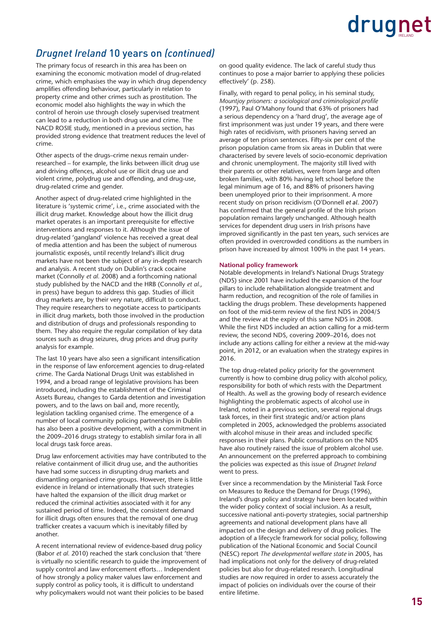#### *Drugnet Ireland* 10 years on *(continued)*

The primary focus of research in this area has been on examining the economic motivation model of drug-related crime, which emphasises the way in which drug dependency amplifies offending behaviour, particularly in relation to property crime and other crimes such as prostitution. The economic model also highlights the way in which the control of heroin use through closely supervised treatment can lead to a reduction in both drug use and crime. The NACD ROSIE study, mentioned in a previous section, has provided strong evidence that treatment reduces the level of crime.

Other aspects of the drugs–crime nexus remain underresearched – for example, the links between illicit drug use and driving offences, alcohol use or illicit drug use and violent crime, polydrug use and offending, and drug-use, drug-related crime and gender.

Another aspect of drug-related crime highlighted in the literature is 'systemic crime', i.e., crime associated with the illicit drug market. Knowledge about how the illicit drug market operates is an important prerequisite for effective interventions and responses to it. Although the issue of drug-related 'gangland' violence has received a great deal of media attention and has been the subject of numerous journalistic exposés, until recently Ireland's illicit drug markets have not been the subject of any in-depth research and analysis. A recent study on Dublin's crack cocaine market (Connolly *et al.* 2008) and a forthcoming national study published by the NACD and the HRB (Connolly *et al.*, in press) have begun to address this gap. Studies of illicit drug markets are, by their very nature, difficult to conduct. They require researchers to negotiate access to participants in illicit drug markets, both those involved in the production and distribution of drugs and professionals responding to them. They also require the regular compilation of key data sources such as drug seizures, drug prices and drug purity analysis for example.

The last 10 years have also seen a significant intensification in the response of law enforcement agencies to drug-related crime. The Garda National Drugs Unit was established in 1994, and a broad range of legislative provisions has been introduced, including the establishment of the Criminal Assets Bureau, changes to Garda detention and investigation powers, and to the laws on bail and, more recently, legislation tackling organised crime. The emergence of a number of local community policing partnerships in Dublin has also been a positive development, with a commitment in the 2009–2016 drugs strategy to establish similar fora in all local drugs task force areas.

Drug law enforcement activities may have contributed to the relative containment of illicit drug use, and the authorities have had some success in disrupting drug markets and dismantling organised crime groups. However, there is little evidence in Ireland or internationally that such strategies have halted the expansion of the illicit drug market or reduced the criminal activities associated with it for any sustained period of time. Indeed, the consistent demand for illicit drugs often ensures that the removal of one drug trafficker creates a vacuum which is inevitably filled by another.

A recent international review of evidence-based drug policy (Babor *et al.* 2010) reached the stark conclusion that 'there is virtually no scientific research to quide the improvement of supply control and law enforcement efforts… Independent of how strongly a policy maker values law enforcement and supply control as policy tools, it is difficult to understand why policymakers would not want their policies to be based

on good quality evidence. The lack of careful study thus continues to pose a major barrier to applying these policies effectively' (p. 258).

Finally, with regard to penal policy, in his seminal study, *Mountjoy prisoners: a sociological and criminological profile* (1997), Paul O'Mahony found that 63% of prisoners had a serious dependency on a 'hard drug', the average age of first imprisonment was just under 19 years, and there were high rates of recidivism, with prisoners having served an average of ten prison sentences. Fifty-six per cent of the prison population came from six areas in Dublin that were characterised by severe levels of socio-economic deprivation and chronic unemployment. The majority still lived with their parents or other relatives, were from large and often broken families, with 80% having left school before the legal minimum age of 16, and 88% of prisoners having been unemployed prior to their imprisonment. A more recent study on prison recidivism (O'Donnell *et al*. 2007) has confirmed that the general profile of the Irish prison population remains largely unchanged. Although health services for dependent drug users in Irish prisons have improved significantly in the past ten years, such services are often provided in overcrowded conditions as the numbers in prison have increased by almost 100% in the past 14 years.

#### **National policy framework**

Notable developments in Ireland's National Drugs Strategy (NDS) since 2001 have included the expansion of the four pillars to include rehabilitation alongside treatment and harm reduction, and recognition of the role of families in tackling the drugs problem. These developments happened on foot of the mid-term review of the first NDS in 2004/5 and the review at the expiry of this same NDS in 2008. While the first NDS included an action calling for a mid-term review, the second NDS, covering 2009–2016, does not include any actions calling for either a review at the mid-way point, in 2012, or an evaluation when the strategy expires in 2016.

The top drug-related policy priority for the government currently is how to combine drug policy with alcohol policy, responsibility for both of which rests with the Department of Health. As well as the growing body of research evidence highlighting the problematic aspects of alcohol use in Ireland, noted in a previous section, several regional drugs task forces, in their first strategic and/or action plans completed in 2005, acknowledged the problems associated with alcohol misuse in their areas and included specific responses in their plans. Public consultations on the NDS have also routinely raised the issue of problem alcohol use. An announcement on the preferred approach to combining the policies was expected as this issue of *Drugnet Ireland* went to press.

Ever since a recommendation by the Ministerial Task Force on Measures to Reduce the Demand for Drugs (1996), Ireland's drugs policy and strategy have been located within the wider policy context of social inclusion. As a result, successive national anti-poverty strategies, social partnership agreements and national development plans have all impacted on the design and delivery of drug policies. The adoption of a lifecycle framework for social policy, following publication of the National Economic and Social Council (NESC) report *The developmental welfare state* in 2005, has had implications not only for the delivery of drug-related policies but also for drug-related research. Longitudinal studies are now required in order to assess accurately the impact of policies on individuals over the course of their entire lifetime.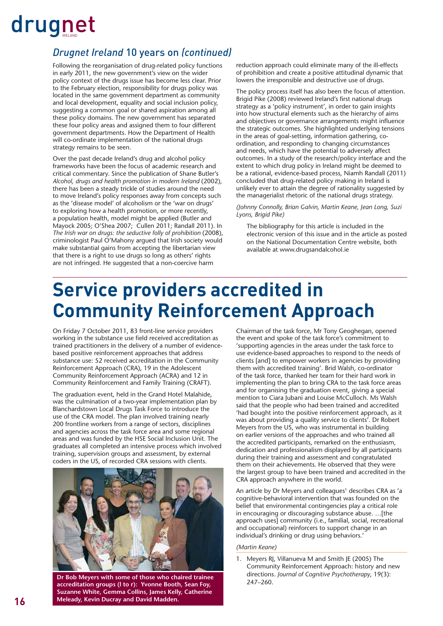#### *Drugnet Ireland* 10 years on *(continued)*

Following the reorganisation of drug-related policy functions in early 2011, the new government's view on the wider policy context of the drugs issue has become less clear. Prior to the February election, responsibility for drugs policy was located in the same government department as community and local development, equality and social inclusion policy, suggesting a common goal or shared aspiration among all these policy domains. The new government has separated these four policy areas and assigned them to four different government departments. How the Department of Health will co-ordinate implementation of the national drugs strategy remains to be seen.

Over the past decade Ireland's drug and alcohol policy frameworks have been the focus of academic research and critical commentary. Since the publication of Shane Butler's *Alcohol, drugs and health promotion in modern Ireland* (2002), there has been a steady trickle of studies around the need to move Ireland's policy responses away from concepts such as the 'disease model' of alcoholism or the 'war on drugs' to exploring how a health promotion, or more recently, a population health, model might be applied (Butler and Mayock 2005; O'Shea 2007; Cullen 2011; Randall 2011). In *The Irish war on drugs: the seductive folly of prohibition* (2008), criminologist Paul O'Mahony argued that Irish society would make substantial gains from accepting the libertarian view that there is a right to use drugs so long as others' rights are not infringed. He suggested that a non-coercive harm

reduction approach could eliminate many of the ill-effects of prohibition and create a positive attitudinal dynamic that lowers the irresponsible and destructive use of drugs.

The policy process itself has also been the focus of attention. Brigid Pike (2008) reviewed Ireland's first national drugs strategy as a 'policy instrument', in order to gain insights into how structural elements such as the hierarchy of aims and objectives or governance arrangements might influence the strategic outcomes. She highlighted underlying tensions in the areas of goal-setting, information gathering, coordination, and responding to changing circumstances and needs, which have the potential to adversely affect outcomes. In a study of the research/policy interface and the extent to which drug policy in Ireland might be deemed to be a rational, evidence-based process, Niamh Randall (2011) concluded that drug-related policy making in Ireland is unlikely ever to attain the degree of rationality suggested by the managerialist rhetoric of the national drugs strategy.

*(Johnny Connolly, Brian Galvin, Martin Keane, Jean Long, Suzi Lyons, Brigid Pike)*

The bibliography for this article is included in the electronic version of this issue and in the article as posted on the National Documentation Centre website, both available at [www.drugsandalcohol.ie](http://www.drugsandalcohol.ie) 

### **Service providers accredited in Community Reinforcement Approach**

On Friday 7 October 2011, 83 front-line service providers working in the substance use field received accreditation as trained practitioners in the delivery of a number of evidencebased positive reinforcement approaches that address substance use: 52 received accreditation in the Community Reinforcement Approach (CRA), 19 in the Adolescent Community Reinforcement Approach (ACRA) and 12 in Community Reinforcement and Family Training (CRAFT).

The graduation event, held in the Grand Hotel Malahide, was the culmination of a two-year implementation plan by Blanchardstown Local Drugs Task Force to introduce the use of the CRA model. The plan involved training nearly 200 frontline workers from a range of sectors, disciplines and agencies across the task force area and some regional areas and was funded by the HSE Social Inclusion Unit. The graduates all completed an intensive process which involved training, supervision groups and assessment, by external coders in the US, of recorded CRA sessions with clients.



247–260. **Dr Bob Meyers with some of those who chaired trainee accreditation groups (l to r): Yvonne Booth, Sean Foy, Suzanne White, Gemma Collins, James Kelly, Catherine Meleady, Kevin Ducray and David Madden.**

Chairman of the task force, Mr Tony Geoghegan, opened the event and spoke of the task force's commitment to 'supporting agencies in the areas under the task force to use evidence-based approaches to respond to the needs of clients [and] to empower workers in agencies by providing them with accredited training'. Brid Walsh, co-ordinator of the task force, thanked her team for their hard work in implementing the plan to bring CRA to the task force areas and for organising the graduation event, giving a special mention to Ciara Jubani and Louise McCulloch. Ms Walsh said that the people who had been trained and accredited 'had bought into the positive reinforcement approach, as it was about providing a quality service to clients'. Dr Robert Meyers from the US, who was instrumental in building on earlier versions of the approaches and who trained all the accredited participants, remarked on the enthusiasm, dedication and professionalism displayed by all participants during their training and assessment and congratulated them on their achievements. He observed that they were the largest group to have been trained and accredited in the CRA approach anywhere in the world.

An article by Dr Meyers and colleagues<sup>1</sup> describes CRA as 'a cognitive-behavioral intervention that was founded on the belief that environmental contingencies play a critical role in encouraging or discouraging substance abuse. …[the approach uses] community (i.e., familial, social, recreational and occupational) reinforcers to support change in an individual's drinking or drug using behaviors.'

*(Martin Keane)* 

1. Meyers RJ, Villanueva M and Smith JE (2005) The Community Reinforcement Approach: history and new directions. *Journal of Cognitive Psychotherapy*, 19(3):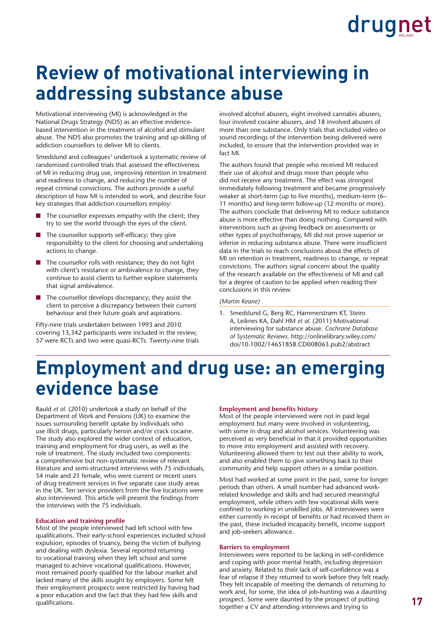### **Review of motivational interviewing in addressing substance abuse**

Motivational interviewing (MI) is acknowledged in the National Drugs Strategy (NDS) as an effective evidencebased intervention in the treatment of alcohol and stimulant abuse. The NDS also promotes the training and up-skilling of addiction counsellors to deliver MI to clients.

Smedslund and colleagues<sup>1</sup> undertook a systematic review of randomised controlled trials that assessed the effectiveness of MI in reducing drug use, improving retention in treatment and readiness to change, and reducing the number of repeat criminal convictions. The authors provide a useful description of how MI is intended to work, and describe four key strategies that addiction counsellors employ:

- The counsellor expresses empathy with the client; they try to see the world through the eyes of the client.
- $\blacksquare$  The counsellor supports self-efficacy; they give responsibility to the client for choosing and undertaking actions to change.
- $\blacksquare$  The counsellor rolls with resistance; they do not fight with client's resistance or ambivalence to change, they continue to assist clients to further explore statements that signal ambivalence.
- The counsellor develops discrepancy; they assist the client to perceive a discrepancy between their current behaviour and their future goals and aspirations.

Fifty-nine trials undertaken between 1993 and 2010 covering 13,342 participants were included in the review; 57 were RCTs and two were quasi-RCTs. Twenty-nine trials involved alcohol abusers, eight involved cannabis abusers, four involved cocaine abusers, and 18 involved abusers of more than one substance. Only trials that included video or sound recordings of the intervention being delivered were included, to ensure that the intervention provided was in fact MI.

The authors found that people who received MI reduced their use of alcohol and drugs more than people who did not receive any treatment. The effect was strongest immediately following treatment and became progressively weaker at short-term (up to five months), medium-term (6– 11 months) and long-term follow-up (12 months or more). The authors conclude that delivering MI to reduce substance abuse is more effective than doing nothing. Compared with interventions such as giving feedback on assessments or other types of psychotherapy, MI did not prove superior or inferior in reducing substance abuse. There were insufficient data in the trials to reach conclusions about the effects of MI on retention in treatment, readiness to change, or repeat convictions. The authors signal concern about the quality of the research available on the effectiveness of MI and call for a degree of caution to be applied when reading their conclusions in this review.

#### *(Martin Keane)*

1. Smedslund G, Berg RC, Hammerstrøm KT, Steiro A, Leiknes KA, Dahl HM *et al.* (2011) Motivational interviewing for substance abuse. *Cochrane Database of Systematic Reviews*. http://onlinelibrary.wiley.com/ [doi/10.1002/14651858.CD008063.pub2/abstract](http://onlinelibrary.wiley.com/doi/10.1002/14651858.CD008063.pub2/abstract)

### **Employment and drug use: an emerging evidence base**

Bauld *et al.* (2010) undertook a study on behalf of the Department of Work and Pensions (UK) to examine the issues surrounding benefit uptake by individuals who use illicit drugs, particularly heroin and/or crack cocaine. The study also explored the wider context of education, training and employment for drug users, as well as the role of treatment. The study included two components: a comprehensive but non-systematic review of relevant literature and semi-structured interviews with 75 individuals, 54 male and 21 female, who were current or recent users of drug treatment services in five separate case study areas in the UK. Ten service providers from the five locations were also interviewed. This article will present the findings from the interviews with the 75 individuals.

#### **Education and training profile**

Most of the people interviewed had left school with few qualifications. Their early-school experiences included school expulsion, episodes of truancy, being the victim of bullying and dealing with dyslexia. Several reported returning to vocational training when they left school and some managed to achieve vocational qualifications. However, most remained poorly qualified for the labour market and lacked many of the skills sought by employers. Some felt their employment prospects were restricted by having had a poor education and the fact that they had few skills and qualifications.

#### **Employment and benefits history**

Most of the people interviewed were not in paid legal employment but many were involved in volunteering, with some in drug and alcohol services. Volunteering was perceived as very beneficial in that it provided opportunities to move into employment and assisted with recovery. Volunteering allowed them to test out their ability to work, and also enabled them to give something back to their community and help support others in a similar position.

Most had worked at some point in the past, some for longer periods than others. A small number had advanced workrelated knowledge and skills and had secured meaningful employment, while others with few vocational skills were confined to working in unskilled jobs. All interviewees were either currently in receipt of benefits or had received them in the past, these included incapacity benefit, income support and job-seekers allowance.

#### **Barriers to employment**

Interviewees were reported to be lacking in self-confidence and coping with poor mental health, including depression and anxiety. Related to their lack of self-confidence was a fear of relapse if they returned to work before they felt ready. They felt incapable of meeting the demands of returning to work and, for some, the idea of job-hunting was a daunting prospect. Some were daunted by the prospect of putting together a CV and attending interviews and trying to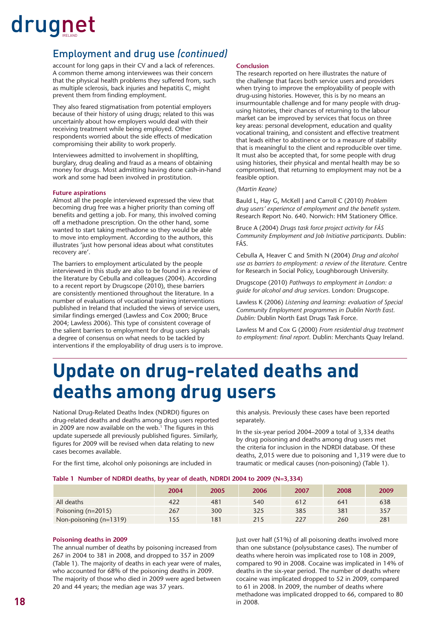#### Employment and drug use *(continued)*

account for long gaps in their CV and a lack of references. A common theme among interviewees was their concern that the physical health problems they suffered from, such as multiple sclerosis, back injuries and hepatitis C, might prevent them from finding employment.

They also feared stigmatisation from potential employers because of their history of using drugs; related to this was uncertainly about how employers would deal with their receiving treatment while being employed. Other respondents worried about the side effects of medication compromising their ability to work properly.

Interviewees admitted to involvement in shoplifting, burglary, drug dealing and fraud as a means of obtaining money for drugs. Most admitting having done cash-in-hand work and some had been involved in prostitution.

#### **Future aspirations**

Almost all the people interviewed expressed the view that becoming drug free was a higher priority than coming off benefits and getting a job. For many, this involved coming off a methadone prescription. On the other hand, some wanted to start taking methadone so they would be able to move into employment. According to the authors, this illustrates 'just how personal ideas about what constitutes recovery are'.

The barriers to employment articulated by the people interviewed in this study are also to be found in a review of the literature by Cebulla and colleagues (2004). According to a recent report by Drugscope (2010), these barriers are consistently mentioned throughout the literature. In a number of evaluations of vocational training interventions published in Ireland that included the views of service users, similar findings emerged (Lawless and Cox 2000; Bruce 2004; Lawless 2006). This type of consistent coverage of the salient barriers to employment for drug users signals a degree of consensus on what needs to be tackled by interventions if the employability of drug users is to improve.

#### **Conclusion**

The research reported on here illustrates the nature of the challenge that faces both service users and providers when trying to improve the employability of people with drug-using histories. However, this is by no means an insurmountable challenge and for many people with drugusing histories, their chances of returning to the labour market can be improved by services that focus on three key areas: personal development, education and quality vocational training, and consistent and effective treatment that leads either to abstinence or to a measure of stability that is meaningful to the client and reproducible over time. It must also be accepted that, for some people with drug using histories, their physical and mental health may be so compromised, that returning to employment may not be a feasible option.

#### *(Martin Keane)*

Bauld L, Hay G, McKell J and Carroll C (2010) *Problem drug users' experience of employment and the benefit system.* Research Report No. 640. Norwich: HM Stationery Office.

Bruce A (2004) *Drugs task force project activity for FÁS Community Employment and Job Initiative participants*. Dublin: FÁS.

Cebulla A, Heaver C and Smith N (2004) *Drug and alcohol use as barriers to employment: a review of the literature*. Centre for Research in Social Policy, Loughborough University.

Drugscope (2010) *Pathways to employment in London: a guide for alcohol and drug services*. London: Drugscope.

Lawless K (2006) *Listening and learning: evaluation of Special Community Employment programmes in Dublin North East. Dublin:* Dublin North East Drugs Task Force.

Lawless M and Cox G (2000) *From residential drug treatment to employment: fi nal report*. Dublin: Merchants Quay Ireland.

### **Update on drug-related deaths and deaths among drug users**

National Drug-Related Deaths Index (NDRDI) figures on drug-related deaths and deaths among drug users reported in 2009 are now available on the web.<sup>1</sup> The figures in this update supersede all previously published figures. Similarly, figures for 2009 will be revised when data relating to new cases becomes available.

For the first time, alcohol only poisonings are included in

this analysis. Previously these cases have been reported separately.

In the six-year period 2004–2009 a total of 3,334 deaths by drug poisoning and deaths among drug users met the criteria for inclusion in the NDRDI database. Of these deaths, 2,015 were due to poisoning and 1,319 were due to traumatic or medical causes (non-poisoning) (Table 1).

#### **Table 1 Number of NDRDI deaths, by year of death, NDRDI 2004 to 2009 (N=3,334)**

|                        | 2004 | 2005 | 2006 | 2007 | 2008 | 2009 |
|------------------------|------|------|------|------|------|------|
| All deaths             | 422  | 481  | 540  | 612  | 641  | 638  |
| Poisoning (n=2015)     | 267  | 300  | 325  | 385  | 381  | 357  |
| Non-poisoning (n=1319) | 155  | 181  | 215  | 227  | 260  | 281  |

#### **Poisoning deaths in 2009**

The annual number of deaths by poisoning increased from 267 in 2004 to 381 in 2008, and dropped to 357 in 2009 (Table 1). The majority of deaths in each year were of males, who accounted for 68% of the poisoning deaths in 2009. The majority of those who died in 2009 were aged between 20 and 44 years; the median age was 37 years.

Just over half (51%) of all poisoning deaths involved more than one substance (polysubstance cases). The number of deaths where heroin was implicated rose to 108 in 2009, compared to 90 in 2008. Cocaine was implicated in 14% of deaths in the six-year period. The number of deaths where cocaine was implicated dropped to 52 in 2009, compared to 61 in 2008. In 2009, the number of deaths where methadone was implicated dropped to 66, compared to 80 in 2008.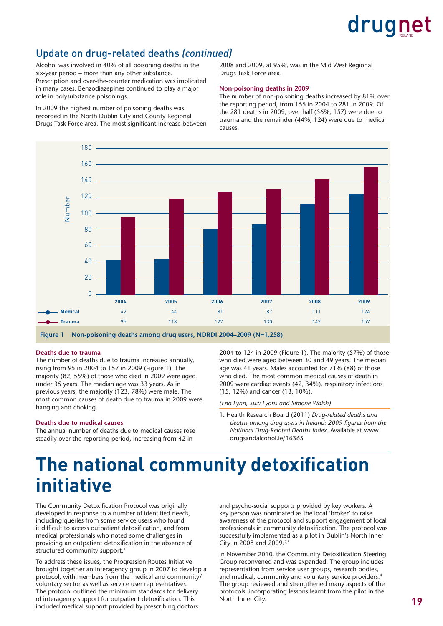#### Update on drug-related deaths *(continued)*

Alcohol was involved in 40% of all poisoning deaths in the six-year period – more than any other substance. Prescription and over-the-counter medication was implicated in many cases. Benzodiazepines continued to play a major role in polysubstance poisonings.

In 2009 the highest number of poisoning deaths was recorded in the North Dublin City and County Regional Drugs Task Force area. The most significant increase between 2008 and 2009, at 95%, was in the Mid West Regional Drugs Task Force area.

#### **Non-poisoning deaths in 2009**

The number of non-poisoning deaths increased by 81% over the reporting period, from 155 in 2004 to 281 in 2009. Of the 281 deaths in 2009, over half (56%, 157) were due to trauma and the remainder (44%, 124) were due to medical causes.



#### **Deaths due to trauma**

The number of deaths due to trauma increased annually, rising from 95 in 2004 to 157 in 2009 (Figure 1). The majority (82, 55%) of those who died in 2009 were aged under 35 years. The median age was 33 years. As in previous years, the majority (123, 78%) were male. The most common causes of death due to trauma in 2009 were hanging and choking.

#### **Deaths due to medical causes**

The annual number of deaths due to medical causes rose steadily over the reporting period, increasing from 42 in

2004 to 124 in 2009 (Figure 1). The majority (57%) of those who died were aged between 30 and 49 years. The median age was 41 years. Males accounted for 71% (88) of those who died. The most common medical causes of death in 2009 were cardiac events (42, 34%), respiratory infections (15, 12%) and cancer (13, 10%).

*(Ena Lynn, Suzi Lyons and Simone Walsh)*

1. Health Research Board (2011) *Drug-related deaths and deaths among drug users in Ireland: 2009 figures from the National Drug-Related Deaths Index*. Available at [www.](http://www.drugsandalcohol.ie/16365) [drugsandalcohol.ie/16365](http://www.drugsandalcohol.ie/16365)

### **The national community detoxification initiative**

The Community Detoxification Protocol was originally developed in response to a number of identified needs, including queries from some service users who found it difficult to access outpatient detoxification, and from medical professionals who noted some challenges in providing an outpatient detoxification in the absence of structured community support.<sup>1</sup>

To address these issues, the Progression Routes Initiative brought together an interagency group in 2007 to develop a protocol, with members from the medical and community/ voluntary sector as well as service user representatives. The protocol outlined the minimum standards for delivery of interagency support for outpatient detoxification. This included medical support provided by prescribing doctors

and psycho-social supports provided by key workers. A key person was nominated as the local 'broker' to raise awareness of the protocol and support engagement of local professionals in community detoxification. The protocol was successfully implemented as a pilot in Dublin's North Inner City in 2008 and 2009.2,3

In November 2010, the Community Detoxification Steering Group reconvened and was expanded. The group includes representation from service user groups, research bodies, and medical, community and voluntary service providers.4 The group reviewed and strengthened many aspects of the protocols, incorporating lessons learnt from the pilot in the North Inner City.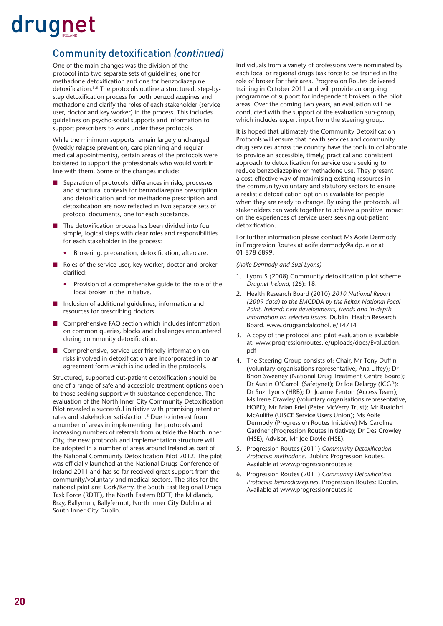#### **Community detoxification (continued)**

One of the main changes was the division of the protocol into two separate sets of guidelines, one for methadone detoxification and one for benzodiazepine detoxification.<sup>5,6</sup> The protocols outline a structured, step-bystep detoxification process for both benzodiazepines and methadone and clarify the roles of each stakeholder (service user, doctor and key worker) in the process. This includes guidelines on psycho-social supports and information to support prescribers to work under these protocols.

While the minimum supports remain largely unchanged (weekly relapse prevention, care planning and regular medical appointments), certain areas of the protocols were bolstered to support the professionals who would work in line with them. Some of the changes include:

- Separation of protocols: differences in risks, processes and structural contexts for benzodiazepine prescription and detoxification and for methadone prescription and detoxification are now reflected in two separate sets of protocol documents, one for each substance.
- The detoxification process has been divided into four simple, logical steps with clear roles and responsibilities for each stakeholder in the process:
	- Brokering, preparation, detoxification, aftercare.
- Roles of the service user, key worker, doctor and broker clarified:
	- Provision of a comprehensive guide to the role of the local broker in the initiative.
- Inclusion of additional guidelines, information and resources for prescribing doctors.
- Comprehensive FAQ section which includes information on common queries, blocks and challenges encountered during community detoxification.
- Comprehensive, service-user friendly information on risks involved in detoxification are incorporated in to an agreement form which is included in the protocols.

Structured, supported out-patient detoxification should be one of a range of safe and accessible treatment options open to those seeking support with substance dependence. The evaluation of the North Inner City Community Detoxification Pilot revealed a successful initiative with promising retention rates and stakeholder satisfaction.3 Due to interest from a number of areas in implementing the protocols and increasing numbers of referrals from outside the North Inner City, the new protocols and implementation structure will be adopted in a number of areas around Ireland as part of the National Community Detoxification Pilot 2012. The pilot was officially launched at the National Drugs Conference of Ireland 2011 and has so far received great support from the community/voluntary and medical sectors. The sites for the national pilot are: Cork/Kerry, the South East Regional Drugs Task Force (RDTF), the North Eastern RDTF, the Midlands, Bray, Ballymun, Ballyfermot, North Inner City Dublin and South Inner City Dublin.

Individuals from a variety of professions were nominated by each local or regional drugs task force to be trained in the role of broker for their area. Progression Routes delivered training in October 2011 and will provide an ongoing programme of support for independent brokers in the pilot areas. Over the coming two years, an evaluation will be conducted with the support of the evaluation sub-group, which includes expert input from the steering group.

It is hoped that ultimately the Community Detoxification Protocols will ensure that health services and community drug services across the country have the tools to collaborate to provide an accessible, timely, practical and consistent approach to detoxification for service users seeking to reduce benzodiazepine or methadone use. They present a cost-effective way of maximising existing resources in the community/voluntary and statutory sectors to ensure a realistic detoxification option is available for people when they are ready to change. By using the protocols, all stakeholders can work together to achieve a positive impact on the experiences of service users seeking out-patient detoxification.

For further information please contact Ms Aoife Dermody in Progression Routes at [aoife.dermody@aldp.ie or](mailto:aoife.dermody@aldp.ie) at 01 878 6899.

#### *(Aoife Dermody and Suzi Lyons)*

- 1. Lyons S (2008) Community detoxification pilot scheme. *Drugnet Ireland*, (26): 18.
- 2. Health Research Board (2010) *2010 National Report (2009 data) to the EMCDDA by the Reitox National Focal Point. Irelan[d: new developments, trends a](http://www.progressionroutes.ie/uploads/docs/Community%20Detox%20Methodone%202011.pdf)nd in-depth information on selected issues*. Dublin: Health Research Board. [www.drugsandalcohol.ie/14714](http://www.drugsandalcohol.ie/14714)
- 3. A copy of the protocol and pilot evaluation is available [at: www.progressionroutes.ie/uploads/docs/Evaluation.](www.progressionroutes.ie/uploads/docs/Evaluation.pdf) pdf
- 4. The Steering Group consists of: Chair, Mr Tony Duffin (voluntary organisations representative, Ana Liffey); Dr Brion Sweeney (National Drug Treatment Centre Board); Dr Austin O'Carroll (Safetynet); Dr Íde Delargy (ICGP); Dr Suzi Lyons (HRB); Dr Joanne Fenton (Access Team); Ms Irene Crawley (voluntary organisations representative, HOPE); Mr Brian Friel (Peter McVerry Trust); Mr Ruaidhri McAuliffe (UISCE Service Users Union); Ms Aoife Dermody (Progression Routes Initiative) Ms Caroline Gardner (Progression Routes Initiative); Dr Des Crowley (HSE); Advisor, Mr Joe Doyle (HSE).
- 5. Progression Routes (2011) Community Detoxification *Protocols: methadone*. Dublin: Progression Routes. Available at [www.progressionroutes.ie](http://www.progressionroutes.ie/uploads/docs/Community%20Detox%20Methodone%202011.pdf)
- 6. Progression Routes (2011) Community Detoxification *Protocols: benzodiazepines*. Progression Routes: Dublin. Available at [www.progressionroutes.ie](http://www.progressionroutes.ie/uploads/docs/Community%20Detox%20Benzodiazepines%202011.pdf)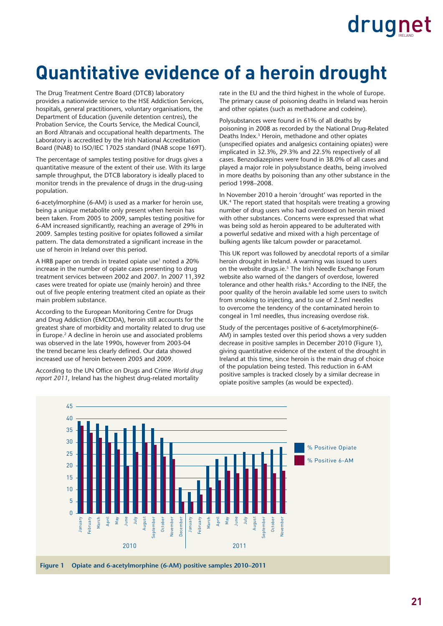### **Quantitative evidence of a heroin drought**

The Drug Treatment Centre Board (DTCB) laboratory provides a nationwide service to the HSE Addiction Services, hospitals, general practitioners, voluntary organisations, the Department of Education (juvenile detention centres), the Probation Service, the Courts Service, the Medical Council, an Bord Altranais and occupational health departments. The Laboratory is accredited by the Irish National Accreditation Board (INAB) to ISO/IEC 17025 standard (INAB scope 169T).

The percentage of samples testing positive for drugs gives a quantitative measure of the extent of their use. With its large sample throughput, the DTCB laboratory is ideally placed to monitor trends in the prevalence of drugs in the drug-using population.

6-acetylmorphine (6-AM) is used as a marker for heroin use, being a unique metabolite only present when heroin has been taken. From 2005 to 2009, samples testing positive for 6-AM increased significantly, reaching an average of 29% in 2009. Samples testing positive for opiates followed a similar pattern. The data demonstrated a significant increase in the use of heroin in Ireland over this period.

A HRB paper on trends in treated opiate use<sup>1</sup> noted a 20% increase in the number of opiate cases presenting to drug treatment services between 2002 and 2007. In 2007 11,392 cases were treated for opiate use (mainly heroin) and three out of five people entering treatment cited an opiate as their main problem substance.

According to the European Monitoring Centre for Drugs and Drug Addiction (EMCDDA), heroin still accounts for the greatest share of morbidity and mortality related to drug use in Europe.2 A decline in heroin use and associated problems was observed in the late 1990s, however from 2003-04 the trend became less clearly defined. Our data showed increased use of heroin between 2005 and 2009.

According to the UN Office on Drugs and Crime World drug *report 2011*, Ireland has the highest drug-related mortality

rate in the EU and the third highest in the whole of Europe. The primary cause of poisoning deaths in Ireland was heroin and other opiates (such as methadone and codeine).

Polysubstances were found in 61% of all deaths by poisoning in 2008 as recorded by the National Drug-Related Deaths Index.3 Heroin, methadone and other opiates (unspecified opiates and analgesics containing opiates) were implicated in 32.3%, 29.3% and 22.5% respectively of all cases. Benzodiazepines were found in 38.0% of all cases and played a major role in polysubstance deaths, being involved in more deaths by poisoning than any other substance in the period 1998–2008.

In November 2010 a heroin 'drought' was reported in the UK.<sup>4</sup> The report stated that hospitals were treating a growing number of drug users who had overdosed on heroin mixed with other substances. Concerns were expressed that what was being sold as heroin appeared to be adulterated with a powerful sedative and mixed with a high percentage of bulking agents like talcum powder or paracetamol.

This UK report was followed by anecdotal reports of a similar heroin drought in Ireland. A warning was issued to users on the website drugs.ie.<sup>5</sup> The Irish Needle Exchange Forum website also warned of the dangers of overdose, lowered tolerance and other health risks.<sup>6</sup> According to the INEF, the poor quality of the heroin available led some users to switch from smoking to injecting, and to use of 2.5ml needles to overcome the tendency of the contaminated heroin to congeal in 1ml needles, thus increasing overdose risk.

Study of the percentages positive of 6-acetylmorphine(6- AM) in samples tested over this period shows a very sudden decrease in positive samples in December 2010 (Figure 1), giving quantitative evidence of the extent of the drought in Ireland at this time, since heroin is the main drug of choice of the population being tested. This reduction in 6-AM positive samples is tracked closely by a similar decrease in opiate positive samples (as would be expected).

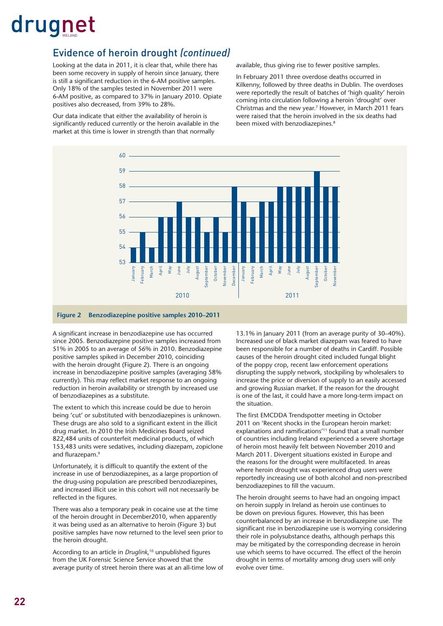#### Evidence of heroin drought *(continued)*

Looking at the data in 2011, it is clear that, while there has been some recovery in supply of heroin since January, there is still a significant reduction in the 6-AM positive samples. Only 18% of the samples tested in November 2011 were 6-AM positive, as compared to 37% in January 2010. Opiate positives also decreased, from 39% to 28%.

Our data indicate that either the availability of heroin is significantly reduced currently or the heroin available in the market at this time is lower in strength than that normally

available, thus giving rise to fewer positive samples.

In February 2011 three overdose deaths occurred in Kilkenny, followed by three deaths in Dublin. The overdoses were reportedly the result of batches of 'high quality' heroin coming into circulation following a heroin 'drought' over Christmas and the new year.7 However, in March 2011 fears were raised that the heroin involved in the six deaths had been mixed with benzodiazepines.<sup>8</sup>



A significant increase in benzodiazepine use has occurred since 2005. Benzodiazepine positive samples increased from 51% in 2005 to an average of 56% in 2010. Benzodiazepine positive samples spiked in December 2010, coinciding with the heroin drought (Figure 2). There is an ongoing increase in benzodiazepine positive samples (averaging 58% currently). This may reflect market response to an ongoing reduction in heroin availability or strength by increased use of benzodiazepines as a substitute.

The extent to which this increase could be due to heroin being 'cut' or substituted with benzodiazepines is unknown. These drugs are also sold to a significant extent in the illicit drug market. In 2010 the Irish Medicines Board seized 822,484 units of counterfeit medicinal products, of which 153,483 units were sedatives, including diazepam, zopiclone and flurazepam.<sup>9</sup>

Unfortunately, it is difficult to quantify the extent of the increase in use of benzodiazepines, as a large proportion of the drug-using population are prescribed benzodiazepines, and increased illicit use in this cohort will not necessarily be reflected in the figures.

There was also a temporary peak in cocaine use at the time of the heroin drought in December2010, when apparently it was being used as an alternative to heroin (Figure 3) but positive samples have now returned to the level seen prior to the heroin drought.

According to an article in *Druglink*,<sup>10</sup> unpublished figures from the UK Forensic Science Service showed that the average purity of street heroin there was at an all-time low of 13.1% in January 2011 (from an average purity of 30–40%). Increased use of black market diazepam was feared to have been responsible for a number of deaths in Cardiff. Possible causes of the heroin drought cited included fungal blight of the poppy crop, recent law enforcement operations disrupting the supply network, stockpiling by wholesalers to increase the price or diversion of supply to an easily accessed and growing Russian market. If the reason for the drought is one of the last, it could have a more long-term impact on the situation.

The first EMCDDA Trendspotter meeting in October 2011 on 'Recent shocks in the European heroin market: explanations and ramifications<sup>'11</sup> found that a small number of countries including Ireland experienced a severe shortage of heroin most heavily felt between November 2010 and March 2011. Divergent situations existed in Europe and the reasons for the drought were multifaceted. In areas where heroin drought was experienced drug users were reportedly increasing use of both alcohol and non-prescribed benzodiazepines to fill the vacuum.

The heroin drought seems to have had an ongoing impact on heroin supply in Ireland as heroin use continues to be down on previous figures. However, this has been counterbalanced by an increase in benzodiazepine use. The significant rise in benzodiazepine use is worrying considering their role in polysubstance deaths, although perhaps this may be mitigated by the corresponding decrease in heroin use which seems to have occurred. The effect of the heroin drought in terms of mortality among drug users will only evolve over time.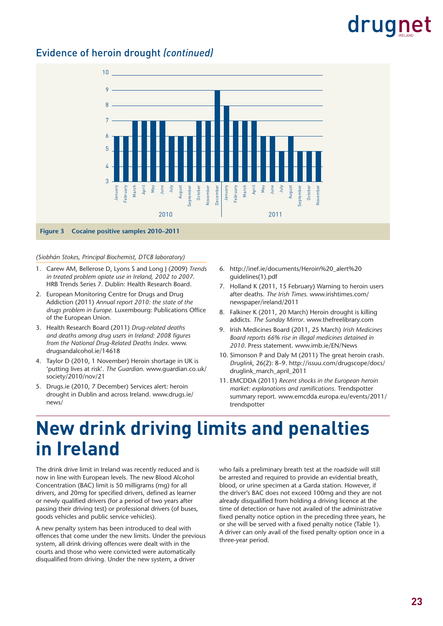#### Evidence of heroin drought *(continued)*



#### *(Siobhán Stokes, Principal Biochemist, DTCB laboratory)*

- 1. Carew AM, Bellerose D, Lyons S and Long J (2009) *Trends in treated problem opiate use in Ireland, 2002 to 2007*. HRB Trends Series 7. Dublin: Health Research Board.
- 2. European Monitoring Centre for Drugs and Drug Addiction (2011) *Annual report 2010: the state of the*  drugs problem in Europe. Luxembourg: Publications Office of the European Union.
- 3. Health Research Board (2011) *Drug-related deaths and deaths among drug users in Ireland: 2008 fi gures from the National Drug-Related Deaths Index*. [www.](http://www.drugsandalcohol.ie/14618) [drugsandalcohol.ie/14618](http://www.drugsandalcohol.ie/14618)
- 4. Taylor D (2010, 1 November) Heroin shortage in UK is 'putting lives at risk'. *The Guardian*[. www.guardian.co.uk/](www.guardian.co.uk/society/2010/nov/21) society/2010/nov/21
- 5. Drugs.ie (2010, 7 December) Services alert: heroin [drought in Dublin and across Ireland. www.drugs.ie/](http://www.drugs.ie/news/) news/
- 6. [http://inef.ie/documents/Heroin%20\\_alert%20](http://inef.ie/documents/Heroin%20_alert%20guidelines(1).pdf) guidelines(1).pdf
- 7. Holland K (2011, 15 February) Warning to heroin users after deaths. *The Irish Times*. www.irishtimes.com/ [newspaper/ireland/2011](www.irishtimes.com/newspaper/ireland/2011)
- 8. Falkiner K (2011, 20 March) Heroin drought is killing addicts. *The Sunday Mirror*. [www.thefreelibrary.com](http://www.thefreelibrary.com)
- 9. Irish Medicines Board (2011, 25 March) *Irish Medicines Board reports 66% rise in illegal medicines detained in 2010*. Press statement. [www.imb.ie/EN/News](http://www.imb.ie/EN/News)
- 10. Simonson P and Daly M (2011) The great heroin crash. *Druglink*[, 26\(2\): 8–9. http://issuu.com/drugscope/docs/](http://issuu.com/drugscope/docs/druglink_march_april_2011) druglink\_march\_april\_2011
- 11. EMCDDA (2011) *Recent shocks in the European heroin market: explanations and ramifications*. Trendspotter [summary report. www.emcdda.europa.eu/events/2011/](www.emcdda.europa.eu/events/2011/trendspotter) trendspotter

### **New drink driving limits and penalties in Ireland**

The drink drive limit in Ireland was recently reduced and is now in line with European levels. The new Blood Alcohol Concentration (BAC) limit is 50 milligrams (mg) for all drivers, and 20mg for specified drivers, defined as learner or newly qualified drivers (for a period of two years after passing their driving test) or professional drivers (of buses, goods vehicles and public service vehicles).

A new penalty system has been introduced to deal with offences that come under the new limits. Under the previous system, all drink driving offences were dealt with in the courts and those who were convicted were automatically disqualified from driving. Under the new system, a driver

who fails a preliminary breath test at the roadside will still be arrested and required to provide an evidential breath, blood, or urine specimen at a Garda station. However, if the driver's BAC does not exceed 100mg and they are not already disqualified from holding a driving licence at the time of detection or have not availed of the administrative fixed penalty notice option in the preceding three years, he or she will be served with a fixed penalty notice (Table 1). A driver can only avail of the fixed penalty option once in a three-year period.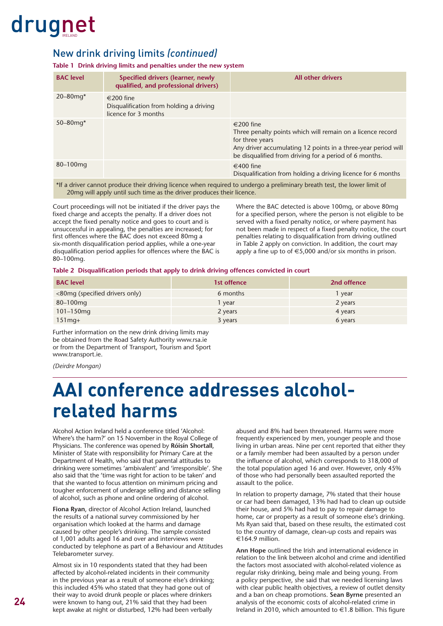#### New drink driving limits *(continued)*

**Table 1 Drink driving limits and penalties under the new system**

| <b>BAC</b> level                                                                                                                                                                                   | Specified drivers (learner, newly<br>qualified, and professional drivers)    | <b>All other drivers</b>                                                                                                                                                                                              |  |  |  |  |  |
|----------------------------------------------------------------------------------------------------------------------------------------------------------------------------------------------------|------------------------------------------------------------------------------|-----------------------------------------------------------------------------------------------------------------------------------------------------------------------------------------------------------------------|--|--|--|--|--|
| $20 - 80$ mg*                                                                                                                                                                                      | €200 fine<br>Disqualification from holding a driving<br>licence for 3 months |                                                                                                                                                                                                                       |  |  |  |  |  |
| $50 - 80$ mg*                                                                                                                                                                                      |                                                                              | €200 fine<br>Three penalty points which will remain on a licence record<br>for three years<br>Any driver accumulating 12 points in a three-year period will<br>be disqualified from driving for a period of 6 months. |  |  |  |  |  |
| $80 - 100$ mg                                                                                                                                                                                      |                                                                              | €400 fine<br>Disqualification from holding a driving licence for 6 months                                                                                                                                             |  |  |  |  |  |
| *If a driver cannot produce their driving licence when required to undergo a preliminary breath test, the lower limit of<br>20 mg will apply until such time as the driver produces their licence. |                                                                              |                                                                                                                                                                                                                       |  |  |  |  |  |

Court proceedings will not be initiated if the driver pays the fixed charge and accepts the penalty. If a driver does not accept the fixed penalty notice and goes to court and is unsuccessful in appealing, the penalties are increased; for first offences where the BAC does not exceed 80mg a six-month disqualification period applies, while a one-year disqualification period applies for offences where the BAC is 80–100mg.

Where the BAC detected is above 100mg, or above 80mg for a specified person, where the person is not eligible to be served with a fixed penalty notice, or where payment has not been made in respect of a fixed penalty notice, the court penalties relating to disqualification from driving outlined in Table 2 apply on conviction. In addition, the court may apply a fine up to of  $\in 5,000$  and/or six months in prison.

#### Table 2 Disqualification periods that apply to drink driving offences convicted in court

| <b>BAC</b> level               | 1st offence | 2nd offence |
|--------------------------------|-------------|-------------|
| <80mg (specified drivers only) | 6 months    | l year      |
| $80 - 100$ mg                  | l year      | 2 years     |
| $101 - 150$ mg                 | 2 years     | 4 years     |
| $151$ mg +                     | 3 years     | 6 years     |

Further information on the new drink driving limits may be obtained from the Road Safety Authority [www.rsa.ie](http://www.rsa.ie)  or from the Department of Transport, Tourism and Sport [www.transport.ie.](http://www.transport.ie) 

*(Deirdre Mongan)*

### **AAI conference addresses alcoholrelated harms**

Alcohol Action Ireland held a conference titled 'Alcohol: Where's the harm?' on 15 November in the Royal College of Physicians. The conference was opened by **Róisín Shortall**, Minister of State with responsibility for Primary Care at the Department of Health, who said that parental attitudes to drinking were sometimes 'ambivalent' and 'irresponsible'. She also said that the 'time was right for action to be taken' and that she wanted to focus attention on minimum pricing and tougher enforcement of underage selling and distance selling of alcohol, such as phone and online ordering of alcohol.

**Fiona Ryan**, director of Alcohol Action Ireland, launched the results of a national survey commissioned by her organisation which looked at the harms and damage caused by other people's drinking. The sample consisted of 1,001 adults aged 16 and over and interviews were conducted by telephone as part of a Behaviour and Attitudes Telebarometer survey.

Almost six in 10 respondents stated that they had been affected by alcohol-related incidents in their community in the previous year as a result of someone else's drinking; this included 45% who stated that they had gone out of their way to avoid drunk people or places where drinkers were known to hang out, 21% said that they had been kept awake at night or disturbed, 12% had been verbally

abused and 8% had been threatened. Harms were more frequently experienced by men, younger people and those living in urban areas. Nine per cent reported that either they or a family member had been assaulted by a person under the influence of alcohol, which corresponds to 318,000 of the total population aged 16 and over. However, only 45% of those who had personally been assaulted reported the assault to the police.

In relation to property damage, 7% stated that their house or car had been damaged, 13% had had to clean up outside their house, and 5% had had to pay to repair damage to home, car or property as a result of someone else's drinking. Ms Ryan said that, based on these results, the estimated cost to the country of damage, clean-up costs and repairs was €164.9 million.

**Ann Hope** outlined the Irish and international evidence in relation to the link between alcohol and crime and identified the factors most associated with alcohol-related violence as regular risky drinking, being male and being young. From a policy perspective, she said that we needed licensing laws with clear public health objectives, a review of outlet density and a ban on cheap promotions. **Sean Byrne** presented an analysis of the economic costs of alcohol-related crime in Ireland in 2010, which amounted to  $\in$  1.8 billion. This figure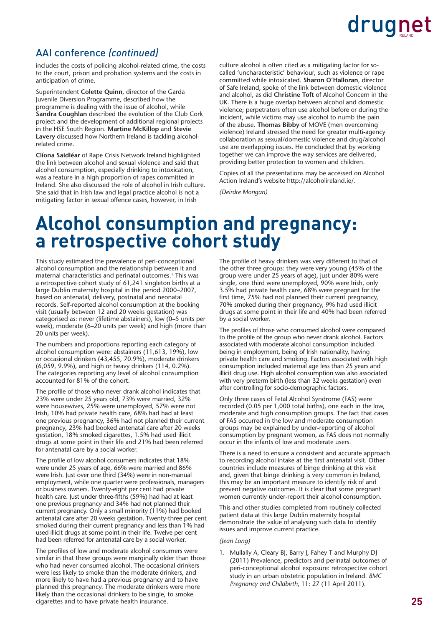#### AAI conference *(continued)*

includes the costs of policing alcohol-related crime, the costs to the court, prison and probation systems and the costs in anticipation of crime.

Superintendent **Colette Quinn**, director of the Garda Juvenile Diversion Programme, described how the programme is dealing with the issue of alcohol, while **Sandra Coughlan** described the evolution of the Club Cork project and the development of additional regional projects in the HSE South Region. **Martine McKillop** and **Stevie Lavery** discussed how Northern Ireland is tackling alcoholrelated crime.

**Clíona Saidléar** of Rape Crisis Network Ireland highlighted the link between alcohol and sexual violence and said that alcohol consumption, especially drinking to intoxication, was a feature in a high proportion of rapes committed in Ireland. She also discussed the role of alcohol in Irish culture. She said that in Irish law and legal practice alcohol is not a mitigating factor in sexual offence cases, however, in Irish

culture alcohol is often cited as a mitigating factor for socalled 'uncharacteristic' behaviour, such as violence or rape committed while intoxicated. **Sharon O'Halloran**, director of Safe Ireland, spoke of the link between domestic violence and alcohol, as did **Christine Toft** of Alcohol Concern in the UK. There is a huge overlap between alcohol and domestic violence; perpetrators often use alcohol before or during the incident, while victims may use alcohol to numb the pain of the abuse. **Thomas Bibby** of MOVE (men overcoming violence) Ireland stressed the need for greater multi-agency collaboration as sexual/domestic violence and drug/alcohol use are overlapping issues. He concluded that by working together we can improve the way services are delivered, providing better protection to women and children.

Copies of all the presentations may be accessed on Alcohol Action Ireland's website [http://alcoholireland.ie/.](http://alcoholireland.ie/) 

*(Deirdre Mongan)*

### **Alcohol consumption and pregnancy: a retrospective cohort study**

This study estimated the prevalence of peri-conceptional alcohol consumption and the relationship between it and maternal characteristics and perinatal outcomes.<sup>1</sup> This was a retrospective cohort study of 61,241 singleton births at a large Dublin maternity hospital in the period 2000–2007, based on antenatal, delivery, postnatal and neonatal records. Self-reported alcohol consumption at the booking visit (usually between 12 and 20 weeks gestation) was categorised as: never (lifetime abstainers), low (0–5 units per week), moderate (6–20 units per week) and high (more than 20 units per week).

The numbers and proportions reporting each category of alcohol consumption were: abstainers (11,613, 19%), low or occasional drinkers (43,455, 70.9%), moderate drinkers (6,059, 9.9%), and high or heavy drinkers (114, 0.2%). The categories reporting any level of alcohol consumption accounted for 81% of the cohort.

The profile of those who never drank alcohol indicates that 23% were under 25 years old, 73% were married, 32% were housewives, 25% were unemployed, 57% were not Irish, 10% had private health care, 68% had had at least one previous pregnancy, 36% had not planned their current pregnancy, 23% had booked antenatal care after 20 weeks gestation, 18% smoked cigarettes, 1.5% had used illicit drugs at some point in their life and 21% had been referred for antenatal care by a social worker.

The profile of low alcohol consumers indicates that 18% were under 25 years of age, 66% were married and 86% were Irish. Just over one third (34%) were in non-manual employment, while one quarter were professionals, managers or business owners. Twenty-eight per cent had private health care. Just under three-fifths (59%) had had at least one previous pregnancy and 34% had not planned their current pregnancy. Only a small minority (11%) had booked antenatal care after 20 weeks gestation. Twenty-three per cent smoked during their current pregnancy and less than 1% had used illicit drugs at some point in their life. Twelve per cent had been referred for antenatal care by a social worker.

The profiles of low and moderate alcohol consumers were similar in that these groups were marginally older than those who had never consumed alcohol. The occasional drinkers were less likely to smoke than the moderate drinkers, and more likely to have had a previous pregnancy and to have planned this pregnancy. The moderate drinkers were more likely than the occasional drinkers to be single, to smoke cigarettes and to have private health insurance.

The profile of heavy drinkers was very different to that of the other three groups: they were very young (45% of the group were under 25 years of age), just under 80% were single, one third were unemployed, 90% were Irish, only 3.5% had private health care, 68% were pregnant for the first time, 75% had not planned their current pregnancy, 70% smoked during their pregnancy, 9% had used illicit drugs at some point in their life and 40% had been referred by a social worker.

The profiles of those who consumed alcohol were compared to the profile of the group who never drank alcohol. Factors associated with moderate alcohol consumption included being in employment, being of Irish nationality, having private health care and smoking. Factors associated with high consumption included maternal age less than 25 years and illicit drug use. High alcohol consumption was also associated with very preterm birth (less than 32 weeks gestation) even after controlling for socio-demographic factors.

Only three cases of Fetal Alcohol Syndrome (FAS) were recorded (0.05 per 1,000 total births), one each in the low, moderate and high consumption groups. The fact that cases of FAS occurred in the low and moderate consumption groups may be explained by under-reporting of alcohol consumption by pregnant women, as FAS does not normally occur in the infants of low and moderate users.

There is a need to ensure a consistent and accurate approach to recording alcohol intake at the first antenatal visit. Other countries include measures of binge drinking at this visit and, given that binge drinking is very common in Ireland, this may be an important measure to identify risk of and prevent negative outcomes. It is clear that some pregnant women currently under-report their alcohol consumption.

This and other studies completed from routinely collected patient data at this large Dublin maternity hospital demonstrate the value of analysing such data to identify issues and improve current practice.

#### *(Jean Long)*

1. Mullally A, Cleary BJ, Barry J, Fahey T and Murphy DJ (2011) Prevalence, predictors and perinatal outcomes of peri-conceptional alcohol exposure: retrospective cohort study in an urban obstetric population in Ireland. *BMC Pregnancy and Childbirth*, 11: 27 (11 April 2011).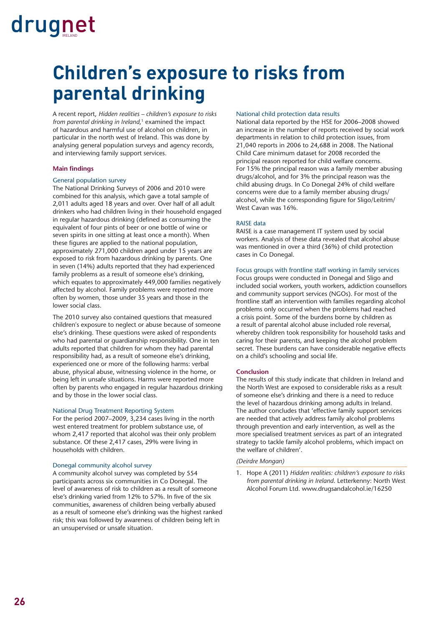### **Children's exposure to risks from parental drinking**

A recent report, *Hidden realities – children's exposure to risks from parental drinking in Ireland*, 1 examined the impact of hazardous and harmful use of alcohol on children, in particular in the north west of Ireland. This was done by analysing general population surveys and agency records, and interviewing family support services.

#### **Main findings**

#### General population survey

The National Drinking Surveys of 2006 and 2010 were combined for this analysis, which gave a total sample of 2,011 adults aged 18 years and over. Over half of all adult drinkers who had children living in their household engaged in regular hazardous drinking (defined as consuming the equivalent of four pints of beer or one bottle of wine or seven spirits in one sitting at least once a month). When these figures are applied to the national population, approximately 271,000 children aged under 15 years are exposed to risk from hazardous drinking by parents. One in seven (14%) adults reported that they had experienced family problems as a result of someone else's drinking, which equates to approximately 449,000 families negatively affected by alcohol. Family problems were reported more often by women, those under 35 years and those in the lower social class.

The 2010 survey also contained questions that measured children's exposure to neglect or abuse because of someone else's drinking. These questions were asked of respondents who had parental or guardianship responsibility. One in ten adults reported that children for whom they had parental responsibility had, as a result of someone else's drinking, experienced one or more of the following harms: verbal abuse, physical abuse, witnessing violence in the home, or being left in unsafe situations. Harms were reported more often by parents who engaged in regular hazardous drinking and by those in the lower social class.

#### National Drug Treatment Reporting System

For the period 2007–2009, 3,234 cases living in the north west entered treatment for problem substance use, of whom 2,417 reported that alcohol was their only problem substance. Of these 2,417 cases, 29% were living in households with children.

#### Donegal community alcohol survey

A community alcohol survey was completed by 554 participants across six communities in Co Donegal. The level of awareness of risk to children as a result of someone else's drinking varied from 12% to 57%. In five of the six communities, awareness of children being verbally abused as a result of someone else's drinking was the highest ranked risk; this was followed by awareness of children being left in an unsupervised or unsafe situation.

#### National child protection data results

National data reported by the HSE for 2006–2008 showed an increase in the number of reports received by social work departments in relation to child protection issues, from 21,040 reports in 2006 to 24,688 in 2008. The National Child Care minimum dataset for 2008 recorded the principal reason reported for child welfare concerns. For 15% the principal reason was a family member abusing drugs/alcohol, and for 3% the principal reason was the child abusing drugs. In Co Donegal 24% of child welfare concerns were due to a family member abusing drugs/ alcohol, while the corresponding figure for Sligo/Leitrim/ West Cavan was 16%.

#### RAISE data

RAISE is a case management IT system used by social workers. Analysis of these data revealed that alcohol abuse was mentioned in over a third (36%) of child protection cases in Co Donegal.

#### Focus groups with frontline staff working in family services

Focus groups were conducted in Donegal and Sligo and included social workers, youth workers, addiction counsellors and community support services (NGOs). For most of the frontline staff an intervention with families regarding alcohol problems only occurred when the problems had reached a crisis point. Some of the burdens borne by children as a result of parental alcohol abuse included role reversal, whereby children took responsibility for household tasks and caring for their parents, and keeping the alcohol problem secret. These burdens can have considerable negative effects on a child's schooling and social life.

#### **Conclusion**

The results of this study indicate that children in Ireland and the North West are exposed to considerable risks as a result of someone else's drinking and there is a need to reduce the level of hazardous drinking among adults in Ireland. The author concludes that 'effective family support services are needed that actively address family alcohol problems through prevention and early intervention, as well as the more specialised treatment services as part of an integrated strategy to tackle family alcohol problems, which impact on the welfare of children'.

#### *(Deirdre Mongan)*

1. Hope A (2011) *Hidden realities: children's exposure to risks from parental drinking in Ireland*. Letterkenny: North West Alcohol Forum Ltd. [www.drugsandalcohol.ie/16250](http://www.drugsandalcohol.ie/16250)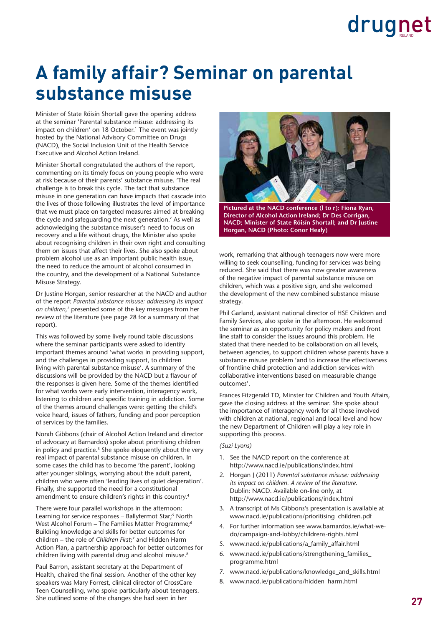### **A family affair? Seminar on parental substance misuse**

Minister of State Róisín Shortall gave the opening address at the seminar 'Parental substance misuse: addressing its impact on children' on 18 October.<sup>1</sup> The event was jointly hosted by the National Advisory Committee on Drugs (NACD), the Social Inclusion Unit of the Health Service Executive and Alcohol Action Ireland.

Minister Shortall congratulated the authors of the report, commenting on its timely focus on young people who were at risk because of their parents' substance misuse. 'The real challenge is to break this cycle. The fact that substance misuse in one generation can have impacts that cascade into the lives of those following illustrates the level of importance that we must place on targeted measures aimed at breaking the cycle and safeguarding the next generation.' As well as acknowledging the substance misuser's need to focus on recovery and a life without drugs, the Minister also spoke about recognising children in their own right and consulting them on issues that affect their lives. She also spoke about problem alcohol use as an important public health issue, the need to reduce the amount of alcohol consumed in the country, and the development of a National Substance Misuse Strategy.

Dr Justine Horgan, senior researcher at the NACD and author of the report *Parental substance misuse: addressing its impact on children*, 2 presented some of the key messages from her review of the literature (see page 28 for a summary of that report).

This was followed by some lively round table discussions where the seminar participants were asked to identify important themes around 'what works in providing support, and the challenges in providing support, to children living with parental substance misuse'. A summary of the discussions will be provided by the NACD but a flavour of the responses is given here. Some of the themes identified for what works were early intervention, interagency work, listening to children and specific training in addiction. Some of the themes around challenges were: getting the child's voice heard, issues of fathers, funding and poor perception of services by the families.

Norah Gibbons (chair of Alcohol Action Ireland and director of advocacy at Barnardos) spoke about prioritising children in policy and practice.<sup>3</sup> She spoke eloquently about the very real impact of parental substance misuse on children. In some cases the child has to become 'the parent', looking after younger siblings, worrying about the adult parent, children who were often 'leading lives of quiet desperation'. Finally, she supported the need for a constitutional amendment to ensure children's rights in this country.4

There were four parallel workshops in the afternoon: Learning for service responses - Ballyfermot Star;<sup>5</sup> North West Alcohol Forum – The Families Matter Programme;<sup>6</sup> Building knowledge and skills for better outcomes for children – the role of *Children First*; 7 and Hidden Harm Action Plan, a partnership approach for better outcomes for children living with parental drug and alcohol misuse.<sup>8</sup>

Paul Barron, assistant secretary at the Department of Health, chaired the final session. Another of the other key speakers was Mary Forrest, clinical director of CrossCare Teen Counselling, who spoke particularly about teenagers. She outlined some of the changes she had seen in her



**Pictured at the NACD conference (l to r): Fiona Ryan, Director of Alcohol Action Ireland; Dr Des Corrigan, NACD; Minister of State Róisín Shortall; and Dr Justine Horgan, NACD (Photo: Conor Healy)** 

work, remarking that although teenagers now were more willing to seek counselling, funding for services was being reduced. She said that there was now greater awareness of the negative impact of parental substance misuse on children, which was a positive sign, and she welcomed the development of the new combined substance misuse strategy.

Phil Garland, assistant national director of HSE Children and Family Services, also spoke in the afternoon. He welcomed the seminar as an opportunity for policy makers and front line staff to consider the issues around this problem. He stated that there needed to be collaboration on all levels, between agencies, to support children whose parents have a substance misuse problem 'and to increase the effectiveness of frontline child protection and addiction services with collaborative interventions based on measurable change outcomes'.

Frances Fitzgerald TD, Minster for Children and Youth Affairs, gave the closing address at the seminar. She spoke about the importance of interagency work for all those involved with children at national, regional and local level and how the new Department of Children will play a key role in supporting this process.

#### *(Suzi Lyons)*

- 1. See the NACD report on the conference at <http://www.nacd.ie/publications/index.html>
- 2. Horgan J (2011) *Parental substance misuse: addressing its impact on children. A review of the literature*. Dublin: NACD. Available on-line only, at <http://www.nacd.ie/publications/index.html>
- 3. A transcript of Ms Gibbons's presentation is available at [www.nacd.ie/publications/prioritising\\_children.pdf](http://www.nacd.ie/publications/prioritising_children.pdf)
- 4. [For further information see www.barnardos.ie/what-we](http://www.barnardos.ie/what-we-do/campaign-and-lobby/childrens-rights.html)do[/campaign-and-lobby/childrens-rights.html](http://www.barnardos.ie/what-we-do/campaign-and-lobby/childrens-rights.html)
- 5. [www.nacd.ie/publications/a\\_family\\_affair.html](http://www.nacd.ie/publications/a_family_affair.html)
- 6. [www.nacd.ie/publications/strengthening\\_families\\_](www.nacd.ie/publications/strengthening_families_programme.html) programme.html
- 7. [www.nacd.ie/publications/knowledge\\_and\\_skills.html](http://www.nacd.ie/publications/knowledge_and_skills.html)
- 8. [www.nacd.ie/publications/hidden\\_harm.html](http://www.nacd.ie/publications/hidden_harm.html)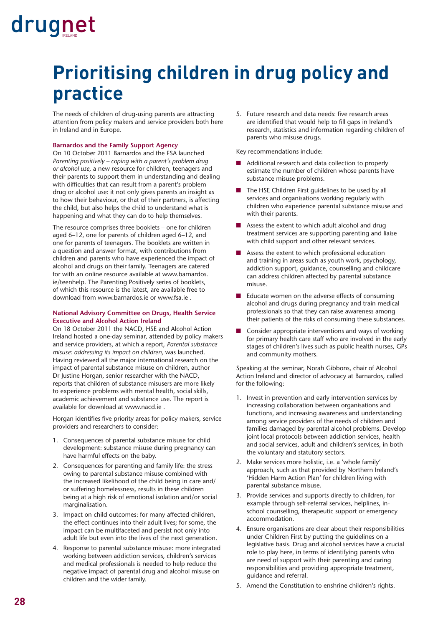### **Prioritising children in drug policy and practice**

The needs of children of drug-using parents are attracting attention from policy makers and service providers both here in Ireland and in Europe.

#### **Barnardos and the Family Support Agency**

On 10 October 2011 Barnardos and the FSA launched *Parenting positively – coping with a parent's problem drug or alcohol use*, a new resource for children, teenagers and their parents to support them in understanding and dealing with difficulties that can result from a parent's problem drug or alcohol use: it not only gives parents an insight as to how their behaviour, or that of their partners, is affecting the child, but also helps the child to understand what is happening and what they can do to help themselves.

The resource comprises three booklets – one for children aged 6–12, one for parents of children aged 6–12, and one for parents of teenagers. The booklets are written in a question and answer format, with contributions from children and parents who have experienced the impact of alcohol and drugs on their family. Teenagers are catered for with an online resource available at [www.barnardos.](http://www.barnardos) ie/teenhelp. The Parenting Positively series of booklets, of which this resource is the latest, are available free to download from [www.barnardos.ie or](http://www.barnardos.ie) [www.fsa.ie .](http://www.fsa.ie) 

#### **National Advisory Committee on Drugs, Health Service Executive and Alcohol Action Ireland**

On 18 October 2011 the NACD, HSE and Alcohol Action Ireland hosted a one-day seminar, attended by policy makers and service providers, at which a report, *Parental substance misuse: addressing its impact on children*, was launched. Having reviewed all the major international research on the impact of parental substance misuse on children, author Dr Justine Horgan, senior researcher with the NACD, reports that children of substance misusers are more likely to experience problems with mental health, social skills, academic achievement and substance use. The report is available for download at [www.nacd.ie .](http://www.nacd.ie)

Horgan identifies five priority areas for policy makers, service providers and researchers to consider:

- 1. Consequences of parental substance misuse for child development: substance misuse during pregnancy can have harmful effects on the baby.
- 2. Consequences for parenting and family life: the stress owing to parental substance misuse combined with the increased likelihood of the child being in care and/ or suffering homelessness, results in these children being at a high risk of emotional isolation and/or social marginalisation.
- 3. Impact on child outcomes: for many affected children, the effect continues into their adult lives; for some, the impact can be multifaceted and persist not only into adult life but even into the lives of the next generation.
- 4. Response to parental substance misuse: more integrated working between addiction services, children's services and medical professionals is needed to help reduce the negative impact of parental drug and alcohol misuse on children and the wider family.

5. Future research and data needs: five research areas are identified that would help to fill gaps in Ireland's research, statistics and information regarding children of parents who misuse drugs.

Key recommendations include:

- Additional research and data collection to properly estimate the number of children whose parents have substance misuse problems.
- The HSE Children First guidelines to be used by all services and organisations working regularly with children who experience parental substance misuse and with their parents.
- Assess the extent to which adult alcohol and drug treatment services are supporting parenting and liaise with child support and other relevant services.
- Assess the extent to which professional education and training in areas such as youth work, psychology, addiction support, guidance, counselling and childcare can address children affected by parental substance misuse.
- Educate women on the adverse effects of consuming alcohol and drugs during pregnancy and train medical professionals so that they can raise awareness among their patients of the risks of consuming these substances.
- Consider appropriate interventions and ways of working for primary health care staff who are involved in the early stages of children's lives such as public health nurses, GPs and community mothers.

Speaking at the seminar, Norah Gibbons, chair of Alcohol Action Ireland and director of advocacy at Barnardos, called for the following:

- 1. Invest in prevention and early intervention services by increasing collaboration between organisations and functions, and increasing awareness and understanding among service providers of the needs of children and families damaged by parental alcohol problems. Develop joint local protocols between addiction services, health and social services, adult and children's services, in both the voluntary and statutory sectors.
- 2. Make services more holistic, i.e. a 'whole family' approach, such as that provided by Northern Ireland's 'Hidden Harm Action Plan' for children living with parental substance misuse.
- 3. Provide services and supports directly to children, for example through self-referral services, helplines, inschool counselling, therapeutic support or emergency accommodation.
- 4. Ensure organisations are clear about their responsibilities under Children First by putting the guidelines on a legislative basis. Drug and alcohol services have a crucial role to play here, in terms of identifying parents who are need of support with their parenting and caring responsibilities and providing appropriate treatment, guidance and referral.
- 5. Amend the Constitution to enshrine children's rights.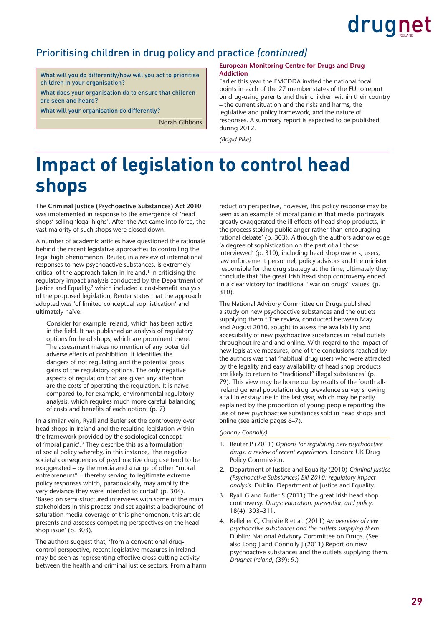

#### Prioritising children in drug policy and practice *(continued)*

What will you do differently/how will you act to prioritise children in your organisation?

What does your organisation do to ensure that children are seen and heard?

What will your organisation do differently?

Norah Gibbons

#### **European Monitoring Centre for Drugs and Drug Addiction**

Earlier this year the EMCDDA invited the national focal points in each of the 27 member states of the EU to report on drug-using parents and their children within their country – the current situation and the risks and harms, the legislative and policy framework, and the nature of responses. A summary report is expected to be published during 2012.

*(Brigid Pike)*

### **Impact of legislation to control head shops**

The **Criminal Justice (Psychoactive Substances) Act 2010** was implemented in response to the emergence of 'head shops' selling 'legal highs'. After the Act came into force, the vast majority of such shops were closed down.

A number of academic articles have questioned the rationale behind the recent legislative approaches to controlling the legal high phenomenon. Reuter, in a review of international responses to new psychoactive substances, is extremely critical of the approach taken in Ireland.<sup>1</sup> In criticising the regulatory impact analysis conducted by the Department of Justice and Equality, $2$  which included a cost-benefit analysis of the proposed legislation, Reuter states that the approach adopted was 'of limited conceptual sophistication' and ultimately naïve:

Consider for example Ireland, which has been active in the field. It has published an analysis of regulatory options for head shops, which are prominent there. The assessment makes no mention of any potential adverse effects of prohibition. It identifies the dangers of not regulating and the potential gross gains of the regulatory options. The only negative aspects of regulation that are given any attention are the costs of operating the regulation. It is naïve compared to, for example, environmental regulatory analysis, which requires much more careful balancing of costs and benefits of each option. (p. 7)

In a similar vein, Ryall and Butler set the controversy over head shops in Ireland and the resulting legislation within the framework provided by the sociological concept of 'moral panic'.3 They describe this as a formulation of social policy whereby, in this instance, 'the negative societal consequences of psychoactive drug use tend to be exaggerated – by the media and a range of other "moral entrepreneurs" – thereby serving to legitimate extreme policy responses which, paradoxically, may amplify the very deviance they were intended to curtail' (p. 304). 'Based on semi-structured interviews with some of the main stakeholders in this process and set against a background of saturation media coverage of this phenomenon, this article presents and assesses competing perspectives on the head shop issue' (p. 303).

The authors suggest that, 'from a conventional drugcontrol perspective, recent legislative measures in Ireland may be seen as representing effective cross-cutting activity between the health and criminal justice sectors. From a harm reduction perspective, however, this policy response may be seen as an example of moral panic in that media portrayals greatly exaggerated the ill effects of head shop products, in the process stoking public anger rather than encouraging rational debate' (p. 303). Although the authors acknowledge 'a degree of sophistication on the part of all those interviewed' (p. 310), including head shop owners, users, law enforcement personnel, policy advisors and the minister responsible for the drug strategy at the time, ultimately they conclude that 'the great Irish head shop controversy ended in a clear victory for traditional "war on drugs" values' (p. 310).

The National Advisory Committee on Drugs published a study on new psychoactive substances and the outlets supplying them.<sup>4</sup> The review, conducted between May and August 2010, sought to assess the availability and accessibility of new psychoactive substances in retail outlets throughout Ireland and online. With regard to the impact of new legislative measures, one of the conclusions reached by the authors was that 'habitual drug users who were attracted by the legality and easy availability of head shop products are likely to return to "traditional" illegal substances' (p. 79). This view may be borne out by results of the fourth all-Ireland general population drug prevalence survey showing a fall in ecstasy use in the last year, which may be partly explained by the proportion of young people reporting the use of new psychoactive substances sold in head shops and online (see article pages 6–7).

#### *(Johnny Connolly)*

- 1. Reuter P (2011) *Options for regulating new psychoactive drugs: a review of recent experiences*. London: UK Drug Policy Commission.
- 2. Department of Justice and Equality (2010) *Criminal Justice (Psychoactive Substances) Bill 2010: regulatory impact analysis*. Dublin: Department of Justice and Equality.
- 3. Ryall G and Butler S (2011) The great Irish head shop controversy. *Drugs: education, prevention and policy*, 18(4): 303–311.
- 4. Kelleher C, Christie R et al. (2011) *An overview of new psychoactive substances and the outlets supplying them*. Dublin: National Advisory Committee on Drugs. (See also Long J and Connolly J (2011) Report on new psychoactive substances and the outlets supplying them. *Drugnet Ireland*, (39): 9.)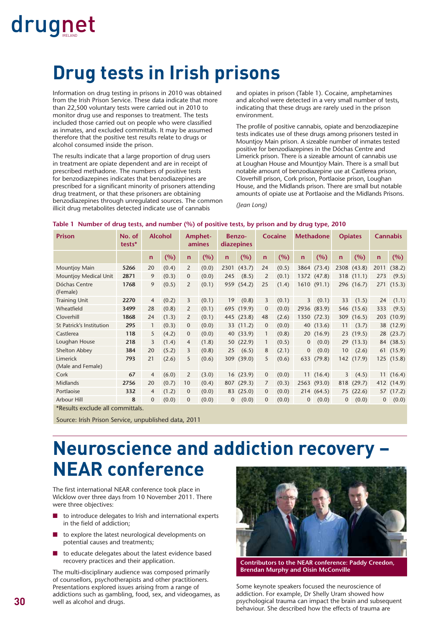### **Drug tests in Irish prisons**

Information on drug testing in prisons in 2010 was obtained from the Irish Prison Service. These data indicate that more than 22,500 voluntary tests were carried out in 2010 to monitor drug use and responses to treatment. The tests included those carried out on people who were classified as inmates, and excluded committals. It may be assumed therefore that the positive test results relate to drugs or alcohol consumed inside the prison.

The results indicate that a large proportion of drug users in treatment are opiate dependent and are in receipt of prescribed methadone. The numbers of positive tests for benzodiazepines indicates that benzodiazepines are prescribed for a significant minority of prisoners attending drug treatment, or that these prisoners are obtaining benzodiazepines through unregulated sources. The common illicit drug metabolites detected indicate use of cannabis

and opiates in prison (Table 1). Cocaine, amphetamines and alcohol were detected in a very small number of tests, indicating that these drugs are rarely used in the prison environment.

The profile of positive cannabis, opiate and benzodiazepine tests indicates use of these drugs among prisoners tested in Mountjoy Main prison. A sizeable number of inmates tested positive for benzodiazepines in the Dóchas Centre and Limerick prison. There is a sizeable amount of cannabis use at Loughan House and Mountjoy Main. There is a small but notable amount of benzodiazepine use at Castlerea prison, Cloverhill prison, Cork prison, Portlaoise prison, Loughan House, and the Midlands prison. There are small but notable amounts of opiate use at Portlaoise and the Midlands Prisons.

*(Jean Long)*

#### **Table 1 Number of drug tests, and number (%) of positive tests, by prison and by drug type, 2010**

| <b>Prison</b>                    | No. of<br>tests* |              | <b>Alcohol</b> |                | Amphet-<br>amines |              | <b>Benzo-</b><br>diazepines | Cocaine        |       | <b>Methadone</b> |             | <b>Opiates</b>  |            | <b>Cannabis</b> |            |
|----------------------------------|------------------|--------------|----------------|----------------|-------------------|--------------|-----------------------------|----------------|-------|------------------|-------------|-----------------|------------|-----------------|------------|
|                                  |                  | $\mathsf{n}$ | (%)            | $\mathsf{n}$   | (%)               | $\mathsf{n}$ | (%)                         | $\mathsf{n}$   | (%)   | $\mathbf n$      | (%)         | $\mathsf{n}$    | (%)        | $\mathbf n$     | (%)        |
| Mountjoy Main                    | 5266             | 20           | (0.4)          | 2              | (0.0)             | 2301         | (43.7)                      | 24             | (0.5) | 3864             | (73.4)      | 2308            | (43.8)     | 2011            | (38.2)     |
| Mountjoy Medical Unit            | 2871             | 9            | (0.3)          | $\mathbf 0$    | (0.0)             | 245          | (8.5)                       | 2              | (0.1) |                  | 1372 (47.8) |                 | 318 (11.1) | 273             | (9.5)      |
| Dóchas Centre<br>(Female)        | 1768             | 9            | (0.5)          | 2              | (0.1)             | 959          | (54.2)                      | 25             | (1.4) |                  | 1610 (91.1) |                 | 296 (16.7) | 271             | (15.3)     |
| <b>Training Unit</b>             | 2270             | 4            | (0.2)          | 3              | (0.1)             | 19           | (0.8)                       | 3              | (0.1) | $\overline{3}$   | (0.1)       | 33              | (1.5)      | 24              | (1.1)      |
| Wheatfield                       | 3499             | 28           | (0.8)          | 2              | (0.1)             |              | 695 (19.9)                  | $\overline{0}$ | (0.0) | 2936             | (83.9)      |                 | 546 (15.6) | 333             | (9.5)      |
| Cloverhill                       | 1868             | 24           | (1.3)          | 2              | (0.1)             |              | 445 (23.8)                  | 48             | (2.6) |                  | 1350 (72.3) |                 | 309 (16.5) |                 | 203 (10.9) |
| St Patrick's Institution         | 295              | 1            | (0.3)          | $\overline{0}$ | (0.0)             |              | 33 (11.2)                   | $\overline{0}$ | (0.0) |                  | 40 (13.6)   | 11              | (3.7)      |                 | 38 (12.9)  |
| Castlerea                        | 118              | 5            | (4.2)          | $\mathbf 0$    | (0.0)             |              | 40 (33.9)                   |                | (0.8) |                  | 20(16.9)    |                 | 23(19.5)   |                 | 28 (23.7)  |
| Loughan House                    | 218              | 3            | (1.4)          | 4              | (1.8)             |              | 50 (22.9)                   | 1              | (0.5) | $\mathbf{0}$     | (0.0)       |                 | 29(13.3)   |                 | 84 (38.5)  |
| Shelton Abbey                    | 384              | 20           | (5.2)          | 3              | (0.8)             | 25           | (6.5)                       | 8              | (2.1) | $\mathbf 0$      | (0.0)       | 10 <sup>°</sup> | (2.6)      |                 | 61 (15.9)  |
| Limerick<br>(Male and Female)    | 793              | 21           | (2.6)          | 5              | (0.6)             |              | 309 (39.0)                  | 5              | (0.6) | 633              | (79.8)      |                 | 142 (17.9) |                 | 125 (15.8) |
| Cork                             | 67               | 4            | (6.0)          | 2              | (3.0)             |              | 16(23.9)                    | $\mathbf{0}$   | (0.0) |                  | 11(16.4)    | $\overline{3}$  | (4.5)      |                 | 11(16.4)   |
| Midlands                         | 2756             | 20           | (0.7)          | 10             | (0.4)             |              | 807 (29.3)                  | 7              | (0.3) |                  | 2563 (93.0) | 818             | (29.7)     |                 | 412 (14.9) |
| Portlaoise                       | 332              | 4            | (1.2)          | $\mathbf 0$    | (0.0)             |              | 83 (25.0)                   | $\overline{0}$ | (0.0) |                  | 214 (64.5)  |                 | 75(22.6)   |                 | 57 (17.2)  |
| Arbour Hill                      | 8                | $\Omega$     | (0.0)          | $\mathbf{0}$   | (0.0)             | 0            | (0.0)                       | $\mathbf{0}$   | (0.0) | $\overline{0}$   | (0.0)       | $\overline{0}$  | (0.0)      | $\overline{0}$  | (0.0)      |
| *Results exclude all committals. |                  |              |                |                |                   |              |                             |                |       |                  |             |                 |            |                 |            |

Source: Irish Prison Service, unpublished data, 2011

### **Neuroscience and addiction recovery – NEAR conference**

The first international NEAR conference took place in Wicklow over three days from 10 November 2011. There were three objectives:

- to introduce delegates to Irish and international experts in the field of addiction;
- to explore the latest neurological developments on potential causes and treatments;
- to educate delegates about the latest evidence based recovery practices and their application.

The multi-disciplinary audience was composed primarily of counsellors, psychotherapists and other practitioners. Presentations explored issues arising from a range of addictions such as gambling, food, sex, and videogames, as well as alcohol and drugs.



**Contributors to the NEAR conference: Paddy Creedon, Brendan Murphy and Oisin McConville**

Some keynote speakers focused the neuroscience of addiction. For example, Dr Shelly Uram showed how psychological trauma can impact the brain and subsequent behaviour. She described how the effects of trauma are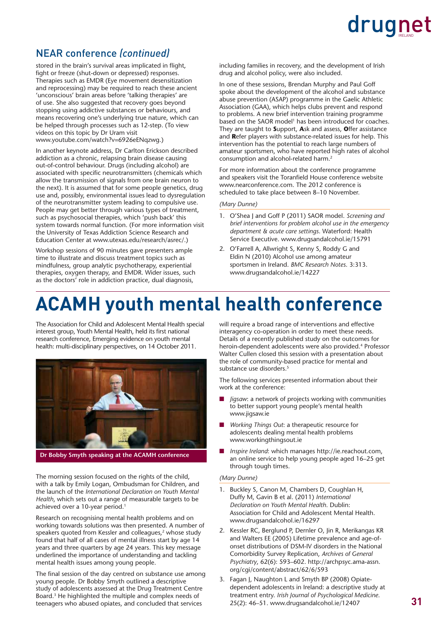

#### NEAR conference *(continued)*

stored in the brain's survival areas implicated in flight, fight or freeze (shut-down or depressed) responses. Therapies such as EMDR (Eye movement desensitization and reprocessing) may be required to reach these ancient 'unconscious' brain areas before 'talking therapies' are of use. She also suggested that recovery goes beyond stopping using addictive substances or behaviours, and means recovering one's underlying true nature, which can be helped through processes such as 12-step. (To view videos on this topic by Dr Uram visit [www.youtube.com/watch?v=6926eENqzwg.\)](http://www.youtube.com/watch?v=6926eENqzwg)

In another keynote address, Dr Carlton Erickson described addiction as a chronic, relapsing brain disease causing out-of-control behaviour. Drugs (including alcohol) are associated with specific neurotransmitters (chemicals which allow the transmission of signals from one brain neuron to the next). It is assumed that for some people genetics, drug use and, possibly, environmental issues lead to dysregulation of the neurotransmitter system leading to compulsive use. People may get better through various types of treatment, such as psychosocial therapies, which 'push back' this system towards normal function. (For more information visit the University of Texas Addiction Science Research and Education Center at [www.utexas.edu/research/asrec/.\)](http://www.utexas.edu/research/asrec/) 

Workshop sessions of 90 minutes gave presenters ample time to illustrate and discuss treatment topics such as mindfulness, group analytic psychotherapy, experiential therapies, oxygen therapy, and EMDR. Wider issues, such as the doctors' role in addiction practice, dual diagnosis,

including families in recovery, and the development of Irish drug and alcohol policy, were also included.

In one of these sessions, Brendan Murphy and Paul Goff spoke about the development of the alcohol and substance abuse prevention (ASAP) programme in the Gaelic Athletic Association (GAA), which helps clubs prevent and respond to problems. A new brief intervention training programme based on the SAOR model<sup>1</sup> has been introduced for coaches. They are taught to **S**upport, **A**sk and assess, **O**ffer assistance and **R**efer players with substance-related issues for help. This intervention has the potential to reach large numbers of amateur sportsmen, who have reported high rates of alcohol consumption and alcohol-related harm.2

For more information about the conference programme and speakers visit the Toranfield House conference website [www.nearconference.com. Th](http://www.nearconference.com)e 2012 conference is scheduled to take place between 8–10 November.

*(Mary Dunne)*

- 1. O'Shea J and Goff P (2011) SAOR model. *Screening and brief interventions for problem alcohol use in the emergency department & acute care settings*. Waterford: Health Service Executive. [www.drugsandalcohol.ie/15791](http://www.drugsandalcohol.ie/15791)
- 2. O'Farrell A, Allwright S, Kenny S, Roddy G and Eldin N (2010) Alcohol use among amateur sportsmen in Ireland. *BMC Research Notes*. 3:313. [www.drugsandalcohol.ie/14227](http://www.drugsandalcohol.ie/14227)

### **ACAMH youth mental health conference**

The Association for Child and Adolescent Mental Health special interest group, Youth Mental Health, held its first national research conference, Emerging evidence on youth mental health: multi-disciplinary perspectives, on 14 October 2011.



**Dr Bobby Smyth speaking at the ACAMH conference**

The morning session focused on the rights of the child, with a talk by Emily Logan, Ombudsman for Children, and the launch of the *International Declaration on Youth Mental Health*, which sets out a range of measurable targets to be achieved over a 10-year period.<sup>1</sup>

Research on recognising mental health problems and on working towards solutions was then presented. A number of speakers quoted from Kessler and colleagues,<sup>2</sup> whose study found that half of all cases of mental illness start by age 14 years and three quarters by age 24 years. This key message underlined the importance of understanding and tackling mental health issues among young people.

The final session of the day centred on substance use among young people. Dr Bobby Smyth outlined a descriptive study of adolescents assessed at the Drug Treatment Centre Board.3 He highlighted the multiple and complex needs of teenagers who abused opiates, and concluded that services

will require a broad range of interventions and effective interagency co-operation in order to meet these needs. Details of a recently published study on the outcomes for heroin-dependent adolescents were also provided.4 Professor Walter Cullen closed this session with a presentation about the role of community-based practice for mental and substance use disorders.<sup>5</sup>

The following services presented information about their work at the conference:

- Jigsaw: a network of projects working with communities to better support young people's mental health [www.jigsaw.ie](http://www.jigsaw.ie)
- Working Things Out: a therapeutic resource for adolescents dealing mental health problems [www.workingthingsout.ie](http://www.workingthingsout.ie)
- *Inspire Ireland*: which manages http://ie.reachout.com, an online service to help young people aged 16–25 get through tough times.

#### *(Mary Dunne)*

- 1. Buckley S, Canon M, Chambers D, Coughlan H, Duffy M, Gavin B et al. (2011) *International Declaration on Youth Mental Health*. Dublin: Association for Child and Adolescent Mental Health. [www.drugsandalcohol.ie/16297](http://www.drugsandalcohol.ie/16297)
- 2. Kessler RC, Berglund P, Dernler O, Jin R, Merikangas KR and Walters EE (2005) Lifetime prevalence and age-ofonset distributions of DSM-IV disorders in the National Comorbidity Survey Replication, *Archives of General Psychiatry*[, 62\(6\): 593–602. http://archpsyc.ama-assn.](http://archpsyc.ama-assn.org/cgi/content/abstract/62/6/593) org/cgi/content/abstract/62/6/593
- 3. Fagan J, Naughton L and Smyth BP (2008) Opiatedependent adolescents in Ireland: a descriptive study at treatment entry. *Irish Journal of Psychological Medicine*. 25(2): 46–51. [www.drugsandalcohol.ie/12407](http://www.drugsandalcohol.ie/12407)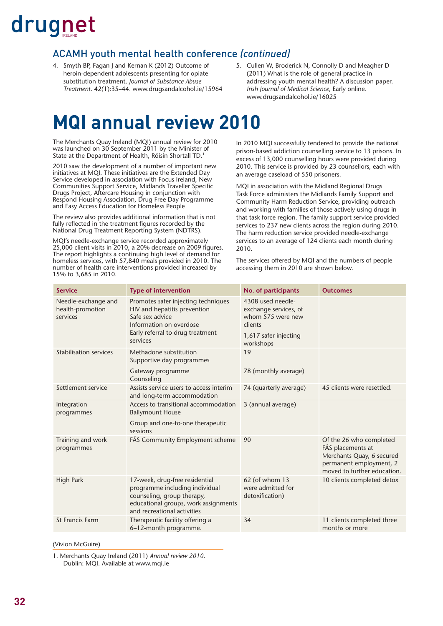#### ACAMH youth mental health conference *(continued)*

- 4. Smyth BP, Fagan J and Kernan K (2012) Outcome of heroin-dependent adolescents presenting for opiate substitution treatment. *Journal of Substance Abuse Treatment*. 42(1):35–44. [www.drugsandalcohol.ie/15964](http://www.drugsandalcohol.ie/15964)
- 5. Cullen W, Broderick N, Connolly D and Meagher D (2011) What is the role of general practice in addressing youth mental health? A discussion paper. *Irish Journal of Medical Science*, Early online. [www.drugsandalcohol.ie/16025](http://www.drugsandalcohol.ie/16025)

### **MQI annual review 2010**

The Merchants Quay Ireland (MQI) annual review for 2010 was launched on 30 September 2011 by the Minister of State at the Department of Health, Róisín Shortall TD.1

2010 saw the development of a number of important new initiatives at MQI. These initiatives are the Extended Day Service developed in association with Focus Ireland, New Communities Support Service, Midlands Traveller Specific Drugs Project, Aftercare Housing in conjunction with Respond Housing Association, Drug Free Day Programme and Easy Access Education for Homeless People

The review also provides additional information that is not fully reflected in the treatment figures recorded by the National Drug Treatment Reporting System (NDTRS).

MQI's needle-exchange service recorded approximately 25,000 client visits in 2010, a 20% decrease on 2009 figures. The report highlights a continuing high level of demand for homeless services, with 57,840 meals provided in 2010. The number of health care interventions provided increased by 15% to 3,685 in 2010.

In 2010 MQI successfully tendered to provide the national prison-based addiction counselling service to 13 prisons. In excess of 13,000 counselling hours were provided during 2010. This service is provided by 23 counsellors, each with an average caseload of 550 prisoners.

MQI in association with the Midland Regional Drugs Task Force administers the Midlands Family Support and Community Harm Reduction Service, providing outreach and working with families of those actively using drugs in that task force region. The family support service provided services to 237 new clients across the region during 2010. The harm reduction service provided needle-exchange services to an average of 124 clients each month during 2010.

The services offered by MQI and the numbers of people accessing them in 2010 are shown below.

| <b>Service</b>                                      | <b>Type of intervention</b>                                                                                                                                           | No. of participants                                                                                 | <b>Outcomes</b>                                                                                                                     |
|-----------------------------------------------------|-----------------------------------------------------------------------------------------------------------------------------------------------------------------------|-----------------------------------------------------------------------------------------------------|-------------------------------------------------------------------------------------------------------------------------------------|
| Needle-exchange and<br>health-promotion<br>services | Promotes safer injecting techniques<br>HIV and hepatitis prevention<br>Safe sex advice<br>Information on overdose<br>Early referral to drug treatment                 | 4308 used needle-<br>exchange services, of<br>whom 575 were new<br>clients<br>1,617 safer injecting |                                                                                                                                     |
|                                                     | services                                                                                                                                                              | workshops                                                                                           |                                                                                                                                     |
| <b>Stabilisation services</b>                       | Methadone substitution<br>Supportive day programmes                                                                                                                   | 19                                                                                                  |                                                                                                                                     |
|                                                     | Gateway programme<br>Counseling                                                                                                                                       | 78 (monthly average)                                                                                |                                                                                                                                     |
| Settlement service                                  | Assists service users to access interim<br>and long-term accommodation                                                                                                | 74 (quarterly average)                                                                              | 45 clients were resettled.                                                                                                          |
| Integration<br>programmes                           | Access to transitional accommodation<br><b>Ballymount House</b>                                                                                                       | 3 (annual average)                                                                                  |                                                                                                                                     |
|                                                     | Group and one-to-one therapeutic<br>sessions                                                                                                                          |                                                                                                     |                                                                                                                                     |
| Training and work<br>programmes                     | FÁS Community Employment scheme                                                                                                                                       | 90                                                                                                  | Of the 26 who completed<br>FÁS placements at<br>Merchants Quay, 6 secured<br>permanent employment, 2<br>moved to further education. |
| <b>High Park</b>                                    | 17-week, drug-free residential<br>programme including individual<br>counseling, group therapy,<br>educational groups, work assignments<br>and recreational activities | 62 (of whom 13<br>were admitted for<br>detoxification)                                              | 10 clients completed detox                                                                                                          |
| St Francis Farm                                     | Therapeutic facility offering a<br>6-12-month programme.                                                                                                              | 34                                                                                                  | 11 clients completed three<br>months or more                                                                                        |

(Vivion McGuire)

1. Merchants Quay Ireland (2011) *Annual review 2010*. Dublin: MQI. Available at [www.mqi.ie](http://www.mqi.ie)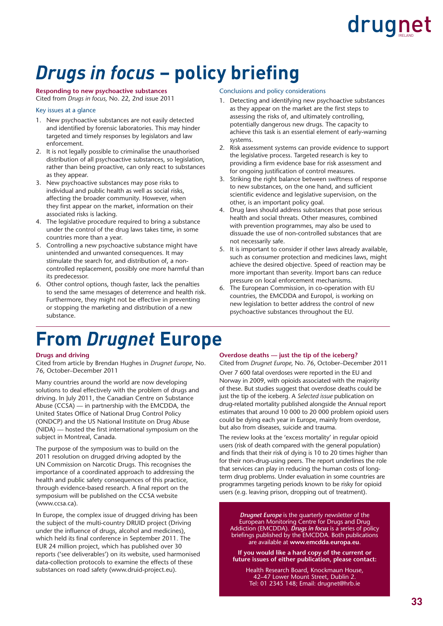### *Drugs in focus* – policy briefing

#### **Responding to new psychoactive substances**

Cited from *Drugs in focus,* No. 22, 2nd issue 2011

#### Key issues at a glance

- 1. New psychoactive substances are not easily detected and identified by forensic laboratories. This may hinder targeted and timely responses by legislators and law enforcement.
- 2. It is not legally possible to criminalise the unauthorised distribution of all psychoactive substances, so legislation, rather than being proactive, can only react to substances as they appear.
- 3. New psychoactive substances may pose risks to individual and public health as well as social risks, affecting the broader community. However, when they first appear on the market, information on their associated risks is lacking.
- 4. The legislative procedure required to bring a substance under the control of the drug laws takes time, in some countries more than a year.
- 5. Controlling a new psychoactive substance might have unintended and unwanted consequences. It may stimulate the search for, and distribution of, a noncontrolled replacement, possibly one more harmful than its predecessor.
- 6. Other control options, though faster, lack the penalties to send the same messages of deterrence and health risk. Furthermore, they might not be effective in preventing or stopping the marketing and distribution of a new substance.

### **From** *Drugnet* **Europe**

#### Conclusions and policy considerations

- 1. Detecting and identifying new psychoactive substances as they appear on the market are the first steps to assessing the risks of, and ultimately controlling, potentially dangerous new drugs. The capacity to achieve this task is an essential element of early-warning systems.
- 2. Risk assessment systems can provide evidence to support the legislative process. Targeted research is key to providing a firm evidence base for risk assessment and for ongoing justification of control measures.
- 3. Striking the right balance between swiftness of response to new substances, on the one hand, and sufficient scientific evidence and legislative supervision, on the other, is an important policy goal.
- 4. Drug laws should address substances that pose serious health and social threats. Other measures, combined with prevention programmes, may also be used to dissuade the use of non-controlled substances that are not necessarily safe.
- 5. It is important to consider if other laws already available, such as consumer protection and medicines laws, might achieve the desired objective. Speed of reaction may be more important than severity. Import bans can reduce pressure on local enforcement mechanisms.
- 6. The European Commission, in co-operation with EU countries, the EMCDDA and Europol, is working on new legislation to better address the control of new psychoactive substances throughout the EU.

#### **Drugs and driving**

Cited from article by Brendan Hughes in *Drugnet Europe*, No. 76, October–December 2011

Many countries around the world are now developing solutions to deal effectively with the problem of drugs and driving. In July 2011, the Canadian Centre on Substance Abuse (CCSA) — in partnership with the EMCDDA, the United States Office of National Drug Control Policy (ONDCP) and the US National Institute on Drug Abuse (NIDA) — hosted the first international symposium on the subject in Montreal, Canada.

The purpose of the symposium was to build on the 2011 resolution on drugged driving adopted by the UN Commission on Narcotic Drugs. This recognises the importance of a coordinated approach to addressing the health and public safety consequences of this practice, through evidence-based research. A final report on the symposium will be published on the CCSA website [\(www.ccsa.ca\).](http://www.ccsa.ca) 

In Europe, the complex issue of drugged driving has been the subject of the multi-country DRUID project (Driving under the influence of drugs, alcohol and medicines), which held its final conference in September 2011. The EUR 24 million project, which has published over 30 reports ('see deliverables') on its website, used harmonised data-collection protocols to examine the effects of these substances on road safety ([www.druid-project.eu\).](http://www.druid-project.eu) 

#### **Overdose deaths — just the tip of the iceberg?**

Cited from *Drugnet Europe*, No. 76, October–December 2011

Over 7 600 fatal overdoses were reported in the EU and Norway in 2009, with opioids associated with the majority of these. But studies suggest that overdose deaths could be just the tip of the iceberg. A *Selected issue* publication on drug-related mortality published alongside the Annual report estimates that around 10 000 to 20 000 problem opioid users could be dying each year in Europe, mainly from overdose, but also from diseases, suicide and trauma.

The review looks at the 'excess mortality' in regular opioid users (risk of death compared with the general population) and finds that their risk of dying is 10 to 20 times higher than for their non-drug-using peers. The report underlines the role that services can play in reducing the human costs of longterm drug problems. Under evaluation in some countries are programmes targeting periods known to be risky for opioid users (e.g. leaving prison, dropping out of treatment).

*Drugnet Europe* is the quarterly newsletter of the European Monitoring Centre for Drugs and Drug Addiction (EMCDDA). *Drugs in focus* is a series of policy briefings published by the EMCDDA. Both publications are available at **[www.emcdda.europa.eu](http://www.emcdda.europa.eu)**.

**If you would like a hard copy of the current or future issues of either publication, please contact:** 

Health Research Board, Knockmaun House, 42–47 Lower Mount Street, Dublin 2. Tel: 01 2345 148; Email: [drugnet@hrb.ie](mailto:drugnet@hrb.ie)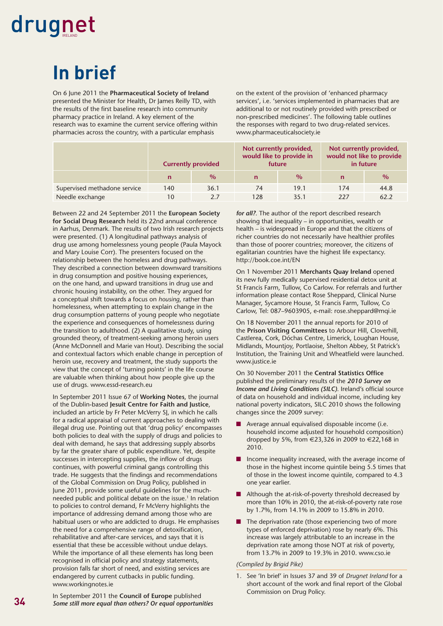### **In brief**

On 6 June 2011 the **Pharmaceutical Society of Ireland** presented the Minister for Health, Dr James Reilly TD, with the results of the first baseline research into community pharmacy practice in Ireland. A key element of the research was to examine the current service offering within pharmacies across the country, with a particular emphasis

on the extent of the provision of 'enhanced pharmacy services', i.e. 'services implemented in pharmacies that are additional to or not routinely provided with prescribed or non-prescribed medicines'. The following table outlines the responses with regard to two drug-related services. [www.pharmaceuticalsociety.ie](http://www.pharmaceuticalsociety.ie)

|                              | <b>Currently provided</b> |      | Not currently provided,<br>would like to provide in<br>future |               | Not currently provided,<br>would not like to provide<br>in future |               |
|------------------------------|---------------------------|------|---------------------------------------------------------------|---------------|-------------------------------------------------------------------|---------------|
|                              | $\mathbf n$               | $\%$ |                                                               | $\frac{0}{0}$ |                                                                   | $\frac{0}{0}$ |
| Supervised methadone service | 140                       | 36.1 | 74                                                            | 19.1          | 174                                                               | 44.8          |
| Needle exchange              | 10                        | 2.7  | 128                                                           | 35.1          | 227                                                               | 62.2          |

Between 22 and 24 September 2011 the **European Society for Social Drug Research** held its 22nd annual conference in Aarhus, Denmark. The results of two Irish research projects were presented. (1) A longitudinal pathways analysis of drug use among homelessness young people (Paula Mayock and Mary Louise Corr). The presenters focused on the relationship between the homeless and drug pathways. They described a connection between downward transitions in drug consumption and positive housing experiences, on the one hand, and upward transitions in drug use and chronic housing instability, on the other. They argued for a conceptual shift towards a focus on *housing*, rather than homelessness, when attempting to explain change in the drug consumption patterns of young people who negotiate the experience and consequences of homelessness during the transition to adulthood. (2) A qualitative study, using grounded theory, of treatment-seeking among heroin users (Anne McDonnell and Marie van Hout). Describing the social and contextual factors which enable change in perception of heroin use, recovery and treatment, the study supports the view that the concept of 'turning points' in the life course are valuable when thinking about how people give up the use of drugs. [www.essd-research.eu](http://www.essd-research.eu)

In September 2011 Issue 67 of **Working Notes**, the journal of the Dublin-based **Jesuit Centre for Faith and Justice**, included an article by Fr Peter McVerry SJ, in which he calls for a radical appraisal of current approaches to dealing with illegal drug use. Pointing out that 'drug policy' encompasses both policies to deal with the supply of drugs and policies to deal with demand, he says that addressing supply absorbs by far the greater share of public expenditure. Yet, despite successes in intercepting supplies, the inflow of drugs continues, with powerful criminal gangs controlling this trade. He suggests that the findings and recommendations of the Global Commission on Drug Policy, published in June 2011, provide some useful guidelines for the muchneeded public and political debate on the issue.<sup>1</sup> In relation to policies to control demand, Fr McVerry highlights the importance of addressing demand among those who are habitual users or who are addicted to drugs. He emphasises the need for a comprehensive range of detoxification, rehabilitative and after-care services, and says that it is essential that these be accessible without undue delays. While the importance of all these elements has long been recognised in official policy and strategy statements, provision falls far short of need, and existing services are endangered by current cutbacks in public funding. [www.workingnotes.ie](http://www.workingnotes.ie) 

In September 2011 the **Council of Europe** published *Some still more equal than others? Or equal opportunities*  *for all?*. The author of the report described research showing that inequality – in opportunities, wealth or health – is widespread in Europe and that the citizens of richer countries do not necessarily have healthier profiles than those of poorer countries; moreover, the citizens of egalitarian countries have the highest life expectancy. <http://book.coe.int/EN>

On 1 November 2011 **Merchants Quay Ireland** opened its new fully medically supervised residential detox unit at St Francis Farm, Tullow, Co Carlow. For referrals and further information please contact Rose Sheppard, Clinical Nurse Manager, Sycamore House, St Francis Farm, Tullow, Co Carlow, Tel: 087–9603905, e-mail: [rose.sheppard@mqi.ie](mailto:rose.sheppard@mqi.ie) 

On 18 November 2011 the annual reports for 2010 of the **Prison Visiting Committees** to Arbour Hill, Cloverhill, Castlerea, Cork, Dóchas Centre, Limerick, Loughan House, Midlands, Mountjoy, Portlaoise, Shelton Abbey, St Patrick's Institution, the Training Unit and Wheatfield were launched. [www.justice.ie](http://www.justice.ie) 

On 30 November 2011 the **Central Statistics Office** published the preliminary results of the *2010 Survey on Income and Living Conditions (SILC)*. Ireland's official source of data on household and individual income, including key national poverty indicators, SILC 2010 shows the following changes since the 2009 survey:

- Average annual equivalised disposable income (i.e. household income adjusted for household composition) dropped by 5%, from €23,326 in 2009 to €22,168 in 2010.
- Income inequality increased, with the average income of those in the highest income quintile being 5.5 times that of those in the lowest income quintile, compared to 4.3 one year earlier.
- Although the at-risk-of-poverty threshold decreased by more than 10% in 2010, the at-risk-of-poverty rate rose by 1.7%, from 14.1% in 2009 to 15.8% in 2010.
- The deprivation rate (those experiencing two of more types of enforced deprivation) rose by nearly 6%. This increase was largely attributable to an increase in the deprivation rate among those NOT at risk of poverty, from 13.7% in 2009 to 19.3% in 2010. [www.cso.ie](http://www.cso.ie)

#### *(Compiled by Brigid Pike)*

1. See 'In brief' in Issues 37 and 39 of *Drugnet Ireland* for a short account of the work and final report of the Global Commission on Drug Policy.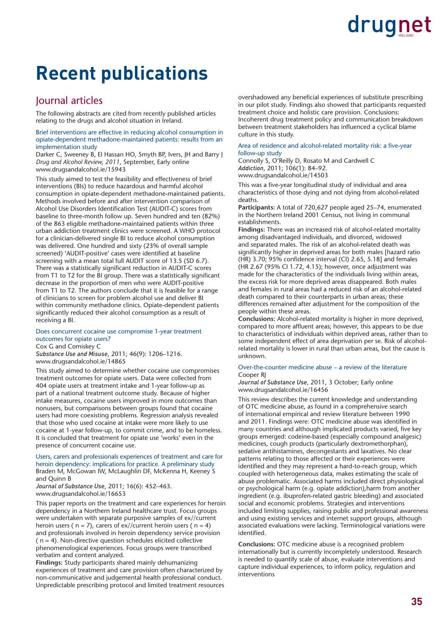### **Recent publications**

#### Journal articles

The following abstracts are cited from recently published articles relating to the drugs and alcohol situation in Ireland.

Brief interventions are effective in reducing alcohol consumption in opiate-dependent methadone-maintained patients: results from an implementation study

Darker C, Sweeney B, El Hassan HO, Smyth BP, Ivers, JH and Barry J *Drug and Alcohol Review, 2011*, September, Early online [www.drugsandalcohol.ie/15943](http://www.drugsandalcohol.ie/15943)

This study aimed to test the feasibility and effectiveness of brief interventions (BIs) to reduce hazardous and harmful alcohol consumption in opiate-dependent methadone-maintained patients. Methods involved before and after intervention comparison of Alcohol Use Disorders Identification Test (AUDIT-C) scores from baseline to three-month follow up. Seven hundred and ten (82%) of the 863 eligible methadone-maintained patients within three urban addiction treatment clinics were screened. A WHO protocol for a clinician-delivered single BI to reduce alcohol consumption was delivered. One hundred and sixty (23% of overall sample screened) 'AUDIT-positive' cases were identified at baseline screening with a mean total full AUDIT score of 13.5 (SD 6.7). There was a statistically significant reduction in AUDIT-C scores from T1 to T2 for the BI group. There was a statistically significant decrease in the proportion of men who were AUDIT-positive from T1 to T2. The authors conclude that it is feasible for a range of clinicians to screen for problem alcohol use and deliver BI within community methadone clinics. Opiate-dependent patients significantly reduced their alcohol consumption as a result of receiving a BI.

#### Does concurrent cocaine use compromise 1-year treatment outcomes for opiate users?

Cox G and Comiskey C

*Substance Use and Misuse*, 2011; 46(9): 1206–1216. [www.drugsandalcohol.ie/14865](http://www.drugsandalcohol.ie/14865)

This study aimed to determine whether cocaine use compromises treatment outcomes for opiate users. Data were collected from 404 opiate users at treatment intake and 1-year follow-up as part of a national treatment outcome study. Because of higher intake measures, cocaine users improved in more outcomes than nonusers, but comparisons between groups found that cocaine users had more coexisting problems. Regression analysis revealed that those who used cocaine at intake were more likely to use cocaine at 1-year follow-up, to commit crime, and to be homeless. It is concluded that treatment for opiate use 'works' even in the presence of concurrent cocaine use.

Users, carers and professionals experiences of treatment and care for heroin dependency: implications for practice. A preliminary study Braden M, McGowan IW, McLaughlin DF, McKenna H, Keeney S and Quinn B

*Journal of Substance Use*, 2011; 16(6): 452–463. [www.drugsandalcohol.ie/16653](http://www.drugsandalcohol.ie/16653)

This paper reports on the treatment and care experiences for heroin dependency in a Northern Ireland healthcare trust. Focus groups were undertaken with separate purposive samples of ex//current heroin users ( $n = 7$ ), carers of ex//current heroin users ( $n = 4$ ) and professionals involved in heroin dependency service provision ( n = 4). Non-directive question schedules elicited collective phenomenological experiences. Focus groups were transcribed verbatim and content analyzed.

**Findings:** Study participants shared mainly dehumanizing experiences of treatment and care provision often characterized by non-communicative and judgemental health professional conduct. Unpredictable prescribing protocol and limited treatment resources overshadowed any beneficial experiences of substitute prescribing in our pilot study. Findings also showed that participants requested treatment choice and holistic care provision. Conclusions: Incoherent drug treatment policy and communication breakdown between treatment stakeholders has influenced a cyclical blame culture in this study.

#### Area of residence and alcohol-related mortality risk: a five-year follow-up study

Connolly S, O'Reilly D, Rosato M and Cardwell C *Addiction*, 2011; 106(1): 84–92. [www.drugsandalcohol.ie/14503](http://www.drugsandalcohol.ie/14503)

This was a five-year longitudinal study of individual and area characteristics of those dying and not dying from alcohol-related deaths

**Participants:** A total of 720,627 people aged 25–74, enumerated in the Northern Ireland 2001 Census, not living in communal establishments.

**Findings:** There was an increased risk of alcohol-related mortality among disadvantaged individuals, and divorced, widowed and separated males. The risk of an alcohol-related death was significantly higher in deprived areas for both males [hazard ratio (HR) 3.70;  $95\%$  confidence interval (CI) 2.65, 5.18] and females (HR 2.67 (95% CI 1.72, 4.15); however, once adjustment was made for the characteristics of the individuals living within areas, the excess risk for more deprived areas disappeared. Both males and females in rural areas had a reduced risk of an alcohol-related death compared to their counterparts in urban areas; these differences remained after adjustment for the composition of the people within these areas.

**Conclusions:** Alcohol-related mortality is higher in more deprived, compared to more affluent areas; however, this appears to be due to characteristics of individuals within deprived areas, rather than to some independent effect of area deprivation per se. Risk of alcoholrelated mortality is lower in rural than urban areas, but the cause is unknown.

#### Over-the-counter medicine abuse – a review of the literature Cooper RJ

*Journal of Substance Use*, 2011, 3 October; Early online [www.drugsandalcohol.ie/16456](http://www.drugsandalcohol.ie/16456)

This review describes the current knowledge and understanding of OTC medicine abuse, as found in a comprehensive search of international empirical and review literature between 1990 and 2011. Findings were: OTC medicine abuse was identified in many countries and although implicated products varied, five key groups emerged: codeine-based (especially compound analgesic) medicines, cough products (particularly dextromethorphan), sedative antihistamines, decongestants and laxatives. No clear patterns relating to those affected or their experiences were identified and they may represent a hard-to-reach group, which coupled with heterogeneous data, makes estimating the scale of abuse problematic. Associated harms included direct physiological or psychological harm (e.g. opiate addiction),harm from another ingredient (e.g. ibuprofen-related gastric bleeding) and associated social and economic problems. Strategies and interventions included limiting supplies, raising public and professional awareness and using existing services and internet support groups, although associated evaluations were lacking. Terminological variations were identified.

**Conclusions:** OTC medicine abuse is a recognised problem internationally but is currently incompletely understood. Research is needed to quantify scale of abuse, evaluate interventions and capture individual experiences, to inform policy, regulation and interventions